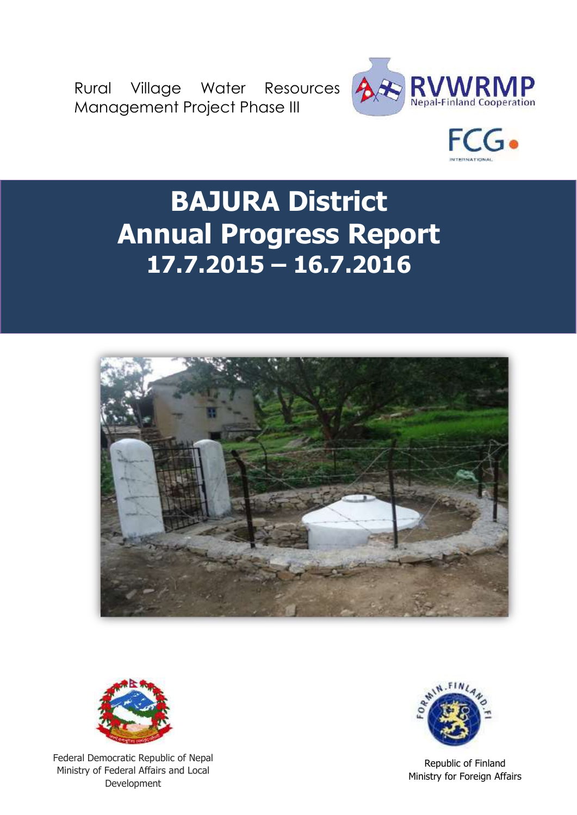Rural Village Water Resources Management Project Phase III





# **BAJURA District Annual Progress Report 17.7.2015 – 16.7.2016**





Federal Democratic Republic of Nepal Ministry of Federal Affairs and Local Development



Republic of Finland Ministry for Foreign Affairs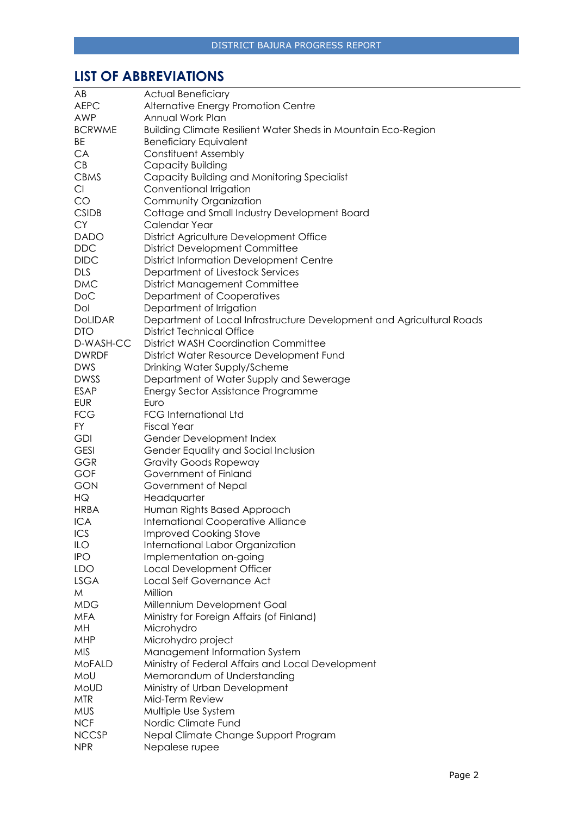# <span id="page-1-0"></span>**LIST OF ABBREVIATIONS**

| AB             | <b>Actual Beneficiary</b>                                             |
|----------------|-----------------------------------------------------------------------|
| <b>AEPC</b>    | Alternative Energy Promotion Centre                                   |
| AWP            | Annual Work Plan                                                      |
| <b>BCRWME</b>  | <b>Building Climate Resilient Water Sheds in Mountain Eco-Region</b>  |
| BE             | <b>Beneficiary Equivalent</b>                                         |
| CA             | <b>Constituent Assembly</b>                                           |
| CB             | Capacity Building                                                     |
| <b>CBMS</b>    | Capacity Building and Monitoring Specialist                           |
| Cl             | Conventional Irrigation                                               |
| CO             | Community Organization                                                |
| <b>CSIDB</b>   | Cottage and Small Industry Development Board                          |
| <b>CY</b>      | Calendar Year                                                         |
| <b>DADO</b>    | District Agriculture Development Office                               |
| <b>DDC</b>     | <b>District Development Committee</b>                                 |
| <b>DIDC</b>    | <b>District Information Development Centre</b>                        |
| <b>DLS</b>     | Department of Livestock Services                                      |
| <b>DMC</b>     | <b>District Management Committee</b>                                  |
| <b>DoC</b>     | Department of Cooperatives                                            |
| Dol            | Department of Irrigation                                              |
| <b>DoLIDAR</b> | Department of Local Infrastructure Development and Agricultural Roads |
| <b>DTO</b>     | <b>District Technical Office</b>                                      |
| D-WASH-CC      | <b>District WASH Coordination Committee</b>                           |
|                |                                                                       |
| <b>DWRDF</b>   | District Water Resource Development Fund                              |
| <b>DWS</b>     | Drinking Water Supply/Scheme                                          |
| <b>DWSS</b>    | Department of Water Supply and Sewerage                               |
| <b>ESAP</b>    | Energy Sector Assistance Programme                                    |
| <b>EUR</b>     | Euro                                                                  |
| <b>FCG</b>     | <b>FCG International Ltd</b>                                          |
| FY.            | <b>Fiscal Year</b>                                                    |
| <b>GDI</b>     | Gender Development Index                                              |
| <b>GESI</b>    | Gender Equality and Social Inclusion                                  |
| <b>GGR</b>     | <b>Gravity Goods Ropeway</b>                                          |
| <b>GOF</b>     | Government of Finland                                                 |
| <b>GON</b>     | Government of Nepal                                                   |
| HG             | Headquarter                                                           |
| <b>HRBA</b>    | Human Rights Based Approach                                           |
| <b>ICA</b>     | International Cooperative Alliance                                    |
| ICS            | <b>Improved Cooking Stove</b>                                         |
| ILO            | International Labor Organization                                      |
| <b>IPO</b>     | Implementation on-going                                               |
| <b>LDO</b>     | Local Development Officer                                             |
| <b>LSGA</b>    | Local Self Governance Act                                             |
| M              | Million                                                               |
| <b>MDG</b>     | Millennium Development Goal                                           |
| <b>MFA</b>     | Ministry for Foreign Affairs (of Finland)                             |
| MH             | Microhydro                                                            |
| <b>MHP</b>     | Microhydro project                                                    |
| <b>MIS</b>     | Management Information System                                         |
| <b>MoFALD</b>  | Ministry of Federal Affairs and Local Development                     |
| MoU            | Memorandum of Understanding                                           |
| MoUD           | Ministry of Urban Development                                         |
| <b>MTR</b>     | Mid-Term Review                                                       |
| <b>MUS</b>     | Multiple Use System                                                   |
| <b>NCF</b>     | Nordic Climate Fund                                                   |
| <b>NCCSP</b>   | Nepal Climate Change Support Program                                  |
| <b>NPR</b>     | Nepalese rupee                                                        |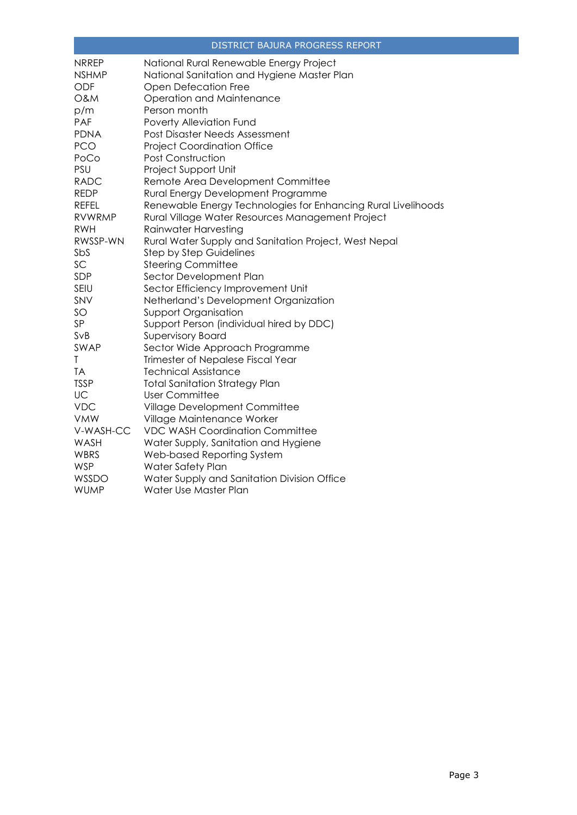| <b>NRREP</b>   | National Rural Renewable Energy Project                       |
|----------------|---------------------------------------------------------------|
| <b>NSHMP</b>   | National Sanitation and Hygiene Master Plan                   |
| <b>ODF</b>     | Open Defecation Free                                          |
| <b>O&amp;M</b> | Operation and Maintenance                                     |
| p/m            | Person month                                                  |
| <b>PAF</b>     | Poverty Alleviation Fund                                      |
| <b>PDNA</b>    | Post Disaster Needs Assessment                                |
| <b>PCO</b>     | <b>Project Coordination Office</b>                            |
| PoCo           | <b>Post Construction</b>                                      |
| <b>PSU</b>     | Project Support Unit                                          |
| <b>RADC</b>    | Remote Area Development Committee                             |
| <b>REDP</b>    | Rural Energy Development Programme                            |
| <b>REFEL</b>   | Renewable Energy Technologies for Enhancing Rural Livelihoods |
| <b>RVWRMP</b>  | Rural Village Water Resources Management Project              |
| <b>RWH</b>     | Rainwater Harvesting                                          |
| RWSSP-WN       | Rural Water Supply and Sanitation Project, West Nepal         |
| SbS            | <b>Step by Step Guidelines</b>                                |
| SC             | <b>Steering Committee</b>                                     |
| SDP            | Sector Development Plan                                       |
| SEIU           | Sector Efficiency Improvement Unit                            |
| SNV            | Netherland's Development Organization                         |
| SO             | <b>Support Organisation</b>                                   |
| SP             | Support Person (individual hired by DDC)                      |
| SvB            | <b>Supervisory Board</b>                                      |
| SWAP           | Sector Wide Approach Programme                                |
| T              | Trimester of Nepalese Fiscal Year                             |
| TA             | <b>Technical Assistance</b>                                   |
| <b>TSSP</b>    | <b>Total Sanitation Strategy Plan</b>                         |
| UC             | <b>User Committee</b>                                         |
| <b>VDC</b>     | Village Development Committee                                 |
| <b>VMW</b>     | Village Maintenance Worker                                    |
| V-WASH-CC      | <b>VDC WASH Coordination Committee</b>                        |
| WASH           | Water Supply, Sanitation and Hygiene                          |
| WBRS           | Web-based Reporting System                                    |
| <b>WSP</b>     | Water Safety Plan                                             |
| WSSDO          | Water Supply and Sanitation Division Office                   |
| <b>WUMP</b>    | Water Use Master Plan                                         |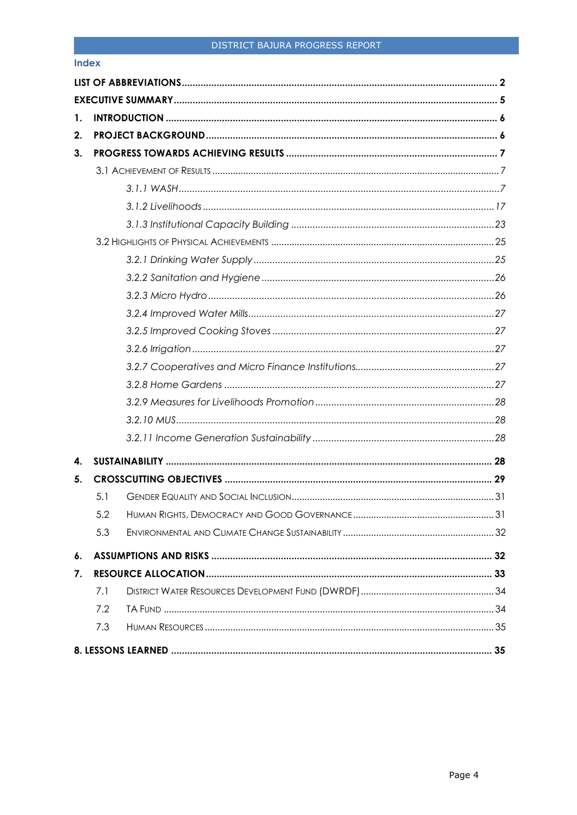#### **Index**

| 1. |     |  |
|----|-----|--|
| 2. |     |  |
| 3. |     |  |
|    |     |  |
|    |     |  |
|    |     |  |
|    |     |  |
|    |     |  |
|    |     |  |
|    |     |  |
|    |     |  |
|    |     |  |
|    |     |  |
|    |     |  |
|    |     |  |
|    |     |  |
|    |     |  |
|    |     |  |
|    |     |  |
| 4. |     |  |
| 5. |     |  |
|    | 5.1 |  |
|    | 5.2 |  |
|    | 5.3 |  |
| 6. |     |  |
| 7. |     |  |
|    | 7.1 |  |
|    | 7.2 |  |
|    | 7.3 |  |
|    |     |  |
|    |     |  |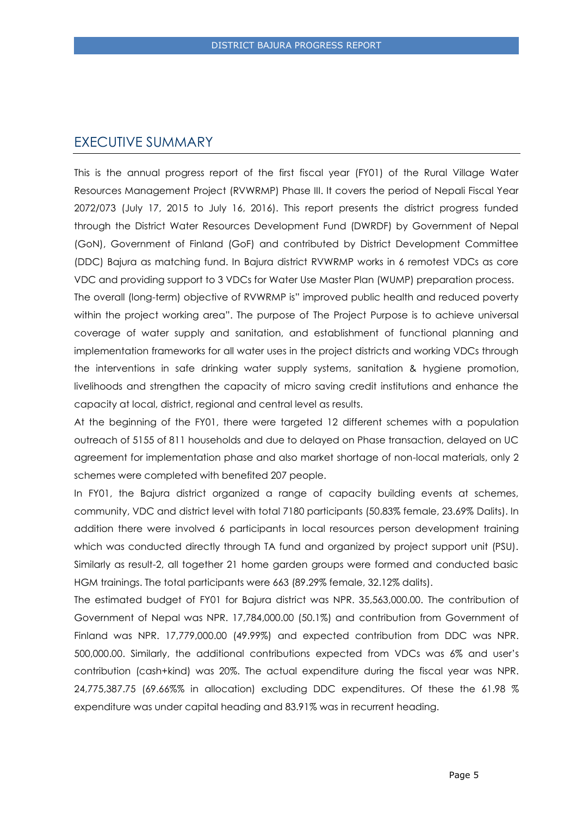# <span id="page-4-0"></span>EXECUTIVE SUMMARY

This is the annual progress report of the first fiscal year (FY01) of the Rural Village Water Resources Management Project (RVWRMP) Phase III. It covers the period of Nepali Fiscal Year 2072/073 (July 17, 2015 to July 16, 2016). This report presents the district progress funded through the District Water Resources Development Fund (DWRDF) by Government of Nepal (GoN), Government of Finland (GoF) and contributed by District Development Committee (DDC) Bajura as matching fund. In Bajura district RVWRMP works in 6 remotest VDCs as core VDC and providing support to 3 VDCs for Water Use Master Plan (WUMP) preparation process.

The overall (long-term) objective of RVWRMP is" improved public health and reduced poverty within the project working area". The purpose of The Project Purpose is to achieve universal coverage of water supply and sanitation, and establishment of functional planning and implementation frameworks for all water uses in the project districts and working VDCs through the interventions in safe drinking water supply systems, sanitation & hygiene promotion, livelihoods and strengthen the capacity of micro saving credit institutions and enhance the capacity at local, district, regional and central level as results.

At the beginning of the FY01, there were targeted 12 different schemes with a population outreach of 5155 of 811 households and due to delayed on Phase transaction, delayed on UC agreement for implementation phase and also market shortage of non-local materials, only 2 schemes were completed with benefited 207 people.

In FY01, the Bajura district organized a range of capacity building events at schemes, community, VDC and district level with total 7180 participants (50.83% female, 23.69% Dalits). In addition there were involved 6 participants in local resources person development training which was conducted directly through TA fund and organized by project support unit (PSU). Similarly as result-2, all together 21 home garden groups were formed and conducted basic HGM trainings. The total participants were 663 (89.29% female, 32.12% dalits).

The estimated budget of FY01 for Bajura district was NPR. 35,563,000.00. The contribution of Government of Nepal was NPR. 17,784,000.00 (50.1%) and contribution from Government of Finland was NPR. 17,779,000.00 (49.99%) and expected contribution from DDC was NPR. 500,000.00. Similarly, the additional contributions expected from VDCs was 6% and user's contribution (cash+kind) was 20%. The actual expenditure during the fiscal year was NPR. 24,775,387.75 (69.66%% in allocation) excluding DDC expenditures. Of these the 61.98 % expenditure was under capital heading and 83.91% was in recurrent heading.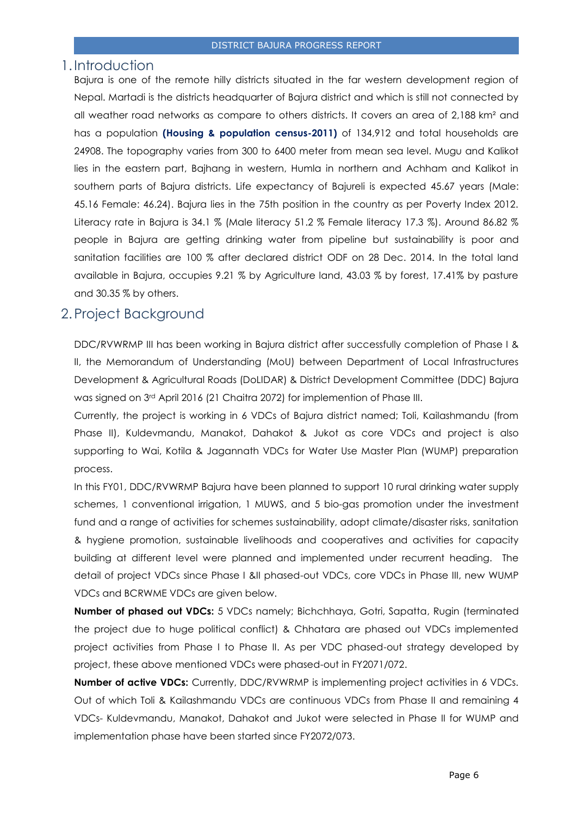#### <span id="page-5-0"></span>1.Introduction

Bajura is one of the remote hilly districts situated in the far western development region of Nepal. Martadi is the districts headquarter of Bajura district and which is still not connected by all weather road networks as compare to others districts. It covers an area of 2,188 km² and has a population **(Housing & population census-2011)** of 134,912 and total households are 24908. The topography varies from 300 to 6400 meter from mean sea level. Mugu and Kalikot lies in the eastern part, Bajhang in western, Humla in northern and Achham and Kalikot in southern parts of Bajura districts. Life expectancy of Bajureli is expected 45.67 years (Male: 45.16 Female: 46.24). Bajura lies in the 75th position in the country as per Poverty Index 2012. Literacy rate in Bajura is 34.1 % (Male literacy 51.2 % Female literacy 17.3 %). Around 86.82 % people in Bajura are getting drinking water from pipeline but sustainability is poor and sanitation facilities are 100 % after declared district ODF on 28 Dec. 2014. In the total land available in Bajura, occupies 9.21 % by Agriculture land, 43.03 % by forest, 17.41% by pasture and 30.35 % by others.

# <span id="page-5-1"></span>2.Project Background

DDC/RVWRMP III has been working in Bajura district after successfully completion of Phase I & II, the Memorandum of Understanding (MoU) between Department of Local Infrastructures Development & Agricultural Roads (DoLIDAR) & District Development Committee (DDC) Bajura was signed on 3rd April 2016 (21 Chaitra 2072) for implemention of Phase III.

Currently, the project is working in 6 VDCs of Bajura district named; Toli, Kailashmandu (from Phase II), Kuldevmandu, Manakot, Dahakot & Jukot as core VDCs and project is also supporting to Wai, Kotila & Jagannath VDCs for Water Use Master Plan (WUMP) preparation process.

In this FY01, DDC/RVWRMP Bajura have been planned to support 10 rural drinking water supply schemes, 1 conventional irrigation, 1 MUWS, and 5 bio-gas promotion under the investment fund and a range of activities for schemes sustainability, adopt climate/disaster risks, sanitation & hygiene promotion, sustainable livelihoods and cooperatives and activities for capacity building at different level were planned and implemented under recurrent heading. The detail of project VDCs since Phase I &II phased-out VDCs, core VDCs in Phase III, new WUMP VDCs and BCRWME VDCs are given below.

**Number of phased out VDCs:** 5 VDCs namely; Bichchhaya, Gotri, Sapatta, Rugin (terminated the project due to huge political conflict) & Chhatara are phased out VDCs implemented project activities from Phase I to Phase II. As per VDC phased-out strategy developed by project, these above mentioned VDCs were phased-out in FY2071/072.

**Number of active VDCs:** Currently, DDC/RVWRMP is implementing project activities in 6 VDCs. Out of which Toli & Kailashmandu VDCs are continuous VDCs from Phase II and remaining 4 VDCs- Kuldevmandu, Manakot, Dahakot and Jukot were selected in Phase II for WUMP and implementation phase have been started since FY2072/073.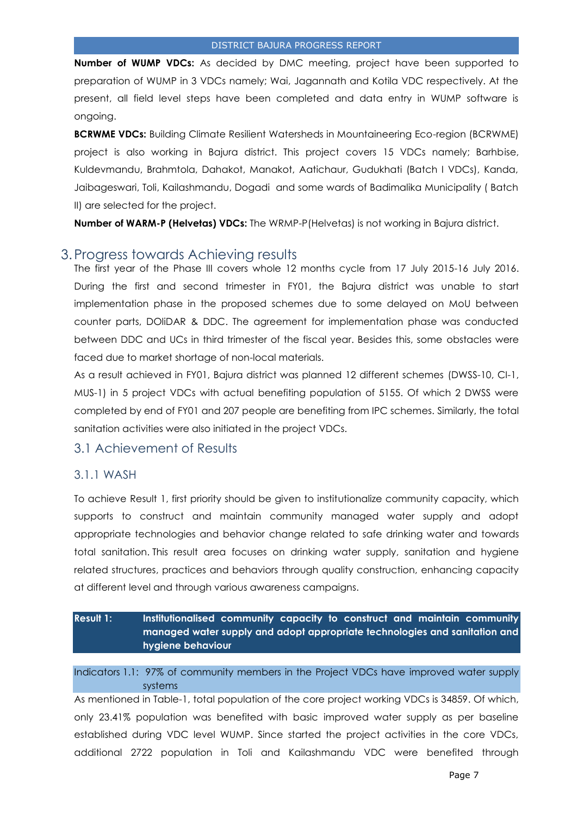**Number of WUMP VDCs:** As decided by DMC meeting, project have been supported to preparation of WUMP in 3 VDCs namely; Wai, Jagannath and Kotila VDC respectively. At the present, all field level steps have been completed and data entry in WUMP software is ongoing.

**BCRWME VDCs:** Building Climate Resilient Watersheds in Mountaineering Eco-region (BCRWME) project is also working in Bajura district. This project covers 15 VDCs namely; Barhbise, Kuldevmandu, Brahmtola, Dahakot, Manakot, Aatichaur, Gudukhati (Batch I VDCs), Kanda, Jaibageswari, Toli, Kailashmandu, Dogadi and some wards of Badimalika Municipality ( Batch II) are selected for the project.

**Number of WARM-P (Helvetas) VDCs:** The WRMP-P(Helvetas) is not working in Bajura district.

# <span id="page-6-0"></span>3.Progress towards Achieving results

The first year of the Phase III covers whole 12 months cycle from 17 July 2015-16 July 2016. During the first and second trimester in FY01, the Bajura district was unable to start implementation phase in the proposed schemes due to some delayed on MoU between counter parts, DOliDAR & DDC. The agreement for implementation phase was conducted between DDC and UCs in third trimester of the fiscal year. Besides this, some obstacles were faced due to market shortage of non-local materials.

As a result achieved in FY01, Bajura district was planned 12 different schemes (DWSS-10, CI-1, MUS-1) in 5 project VDCs with actual benefiting population of 5155. Of which 2 DWSS were completed by end of FY01 and 207 people are benefiting from IPC schemes. Similarly, the total sanitation activities were also initiated in the project VDCs.

# <span id="page-6-1"></span>3.1 Achievement of Results

## <span id="page-6-2"></span>3.1.1 WASH

To achieve Result 1, first priority should be given to institutionalize community capacity, which supports to construct and maintain community managed water supply and adopt appropriate technologies and behavior change related to safe drinking water and towards total sanitation. This result area focuses on drinking water supply, sanitation and hygiene related structures, practices and behaviors through quality construction, enhancing capacity at different level and through various awareness campaigns.

| <b>Result 1:</b> | Institutionalised community capacity to construct and maintain community   |
|------------------|----------------------------------------------------------------------------|
|                  | managed water supply and adopt appropriate technologies and sanitation and |
|                  | hygiene behaviour                                                          |

Indicators 1.1: 97% of community members in the Project VDCs have improved water supply systems

As mentioned in Table-1, total population of the core project working VDCs is 34859. Of which, only 23.41% population was benefited with basic improved water supply as per baseline established during VDC level WUMP. Since started the project activities in the core VDCs, additional 2722 population in Toli and Kailashmandu VDC were benefited through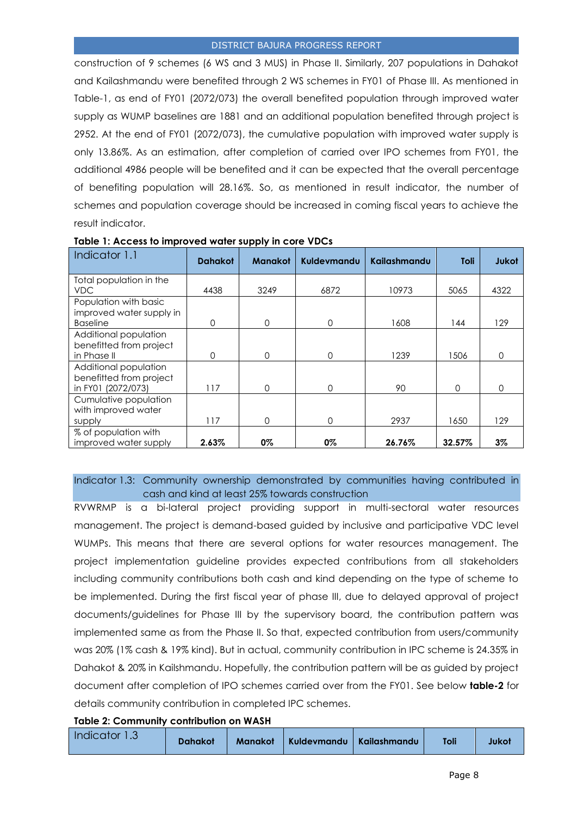construction of 9 schemes (6 WS and 3 MUS) in Phase II. Similarly, 207 populations in Dahakot and Kailashmandu were benefited through 2 WS schemes in FY01 of Phase III. As mentioned in Table-1, as end of FY01 (2072/073) the overall benefited population through improved water supply as WUMP baselines are 1881 and an additional population benefited through project is 2952. At the end of FY01 (2072/073), the cumulative population with improved water supply is only 13.86%. As an estimation, after completion of carried over IPO schemes from FY01, the additional 4986 people will be benefited and it can be expected that the overall percentage of benefiting population will 28.16%. So, as mentioned in result indicator, the number of schemes and population coverage should be increased in coming fiscal years to achieve the result indicator.

| Indicator 1.1            | <b>Dahakot</b> | <b>Manakot</b> | Kuldevmandu | Kailashmandu | Toli     | Jukot    |
|--------------------------|----------------|----------------|-------------|--------------|----------|----------|
| Total population in the  |                |                |             |              |          |          |
| <b>VDC</b>               | 4438           | 3249           | 6872        | 10973        | 5065     | 4322     |
| Population with basic    |                |                |             |              |          |          |
| improved water supply in |                |                |             |              |          |          |
| <b>Baseline</b>          | 0              | 0              | $\Omega$    | 1608         | 144      | 129      |
| Additional population    |                |                |             |              |          |          |
| benefitted from project  |                |                |             |              |          |          |
| in Phase II              | $\Omega$       | 0              | $\Omega$    | 1239         | 1506     | $\Omega$ |
| Additional population    |                |                |             |              |          |          |
| benefitted from project  |                |                |             |              |          |          |
| in FY01 (2072/073)       | 117            | 0              | $\Omega$    | 90           | $\Omega$ | O        |
| Cumulative population    |                |                |             |              |          |          |
| with improved water      |                |                |             |              |          |          |
| supply                   | 117            | 0              | $\Omega$    | 2937         | 1650     | 129      |
| % of population with     |                |                |             |              |          |          |
| improved water supply    | 2.63%          | 0%             | 0%          | 26.76%       | 32.57%   | $3\%$    |

#### **Table 1: Access to improved water supply in core VDCs**

Indicator 1.3: Community ownership demonstrated by communities having contributed in cash and kind at least 25% towards construction

RVWRMP is a bi-lateral project providing support in multi-sectoral water resources management. The project is demand-based guided by inclusive and participative VDC level WUMPs. This means that there are several options for water resources management. The project implementation guideline provides expected contributions from all stakeholders including community contributions both cash and kind depending on the type of scheme to be implemented. During the first fiscal year of phase III, due to delayed approval of project documents/guidelines for Phase III by the supervisory board, the contribution pattern was implemented same as from the Phase II. So that, expected contribution from users/community was 20% (1% cash & 19% kind). But in actual, community contribution in IPC scheme is 24.35% in Dahakot & 20% in Kailshmandu. Hopefully, the contribution pattern will be as guided by project document after completion of IPO schemes carried over from the FY01. See below **table-2** for details community contribution in completed IPC schemes.

#### **Table 2: Community contribution on WASH**

| Indicator 1.3 | <b>Dahakot</b> | <b>Manakot</b> | Kuldevmandu   Kailashmandu |  | Toli | Jukot |
|---------------|----------------|----------------|----------------------------|--|------|-------|
|---------------|----------------|----------------|----------------------------|--|------|-------|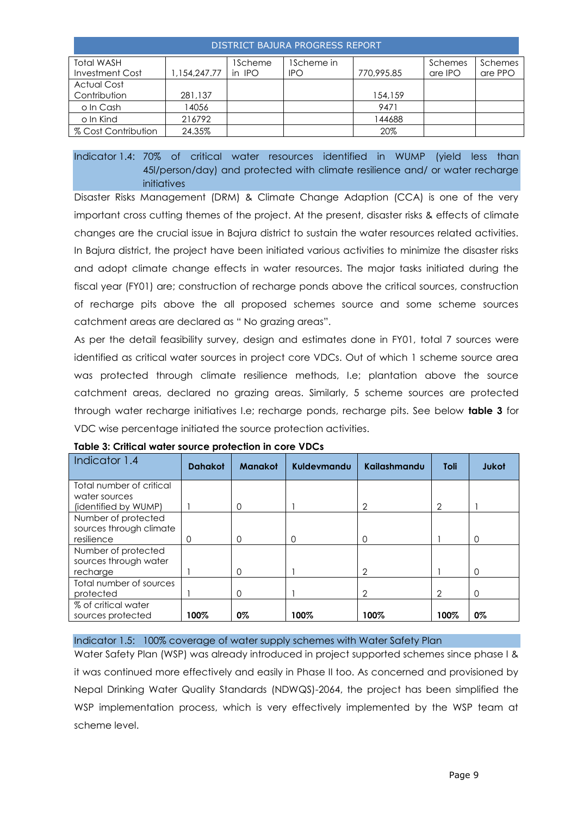| DISTRICT BAJURA PROGRESS REPORT |              |         |            |            |         |         |  |  |  |
|---------------------------------|--------------|---------|------------|------------|---------|---------|--|--|--|
| <b>Total WASH</b>               |              | 1Scheme | IScheme in |            | Schemes | Schemes |  |  |  |
| Investment Cost                 | 1.154.247.77 | in IPO  | <b>IPO</b> | 770,995.85 | are IPO | are PPO |  |  |  |
| <b>Actual Cost</b>              |              |         |            |            |         |         |  |  |  |
| Contribution                    | 281,137      |         |            | 154,159    |         |         |  |  |  |
| o In Cash                       | 14056        |         |            | 9471       |         |         |  |  |  |
| o In Kind                       | 216792       |         |            | 44688      |         |         |  |  |  |
| % Cost Contribution             | 24.35%       |         |            | 20%        |         |         |  |  |  |

Indicator 1.4: 70% of critical water resources identified in WUMP (yield less than 45l/person/day) and protected with climate resilience and/ or water recharge initiatives

Disaster Risks Management (DRM) & Climate Change Adaption (CCA) is one of the very important cross cutting themes of the project. At the present, disaster risks & effects of climate changes are the crucial issue in Bajura district to sustain the water resources related activities. In Bajura district, the project have been initiated various activities to minimize the disaster risks and adopt climate change effects in water resources. The major tasks initiated during the fiscal year (FY01) are; construction of recharge ponds above the critical sources, construction of recharge pits above the all proposed schemes source and some scheme sources catchment areas are declared as " No grazing areas".

As per the detail feasibility survey, design and estimates done in FY01, total 7 sources were identified as critical water sources in project core VDCs. Out of which 1 scheme source area was protected through climate resilience methods, I.e; plantation above the source catchment areas, declared no grazing areas. Similarly, 5 scheme sources are protected through water recharge initiatives I.e; recharge ponds, recharge pits. See below **table 3** for VDC wise percentage initiated the source protection activities.

| Indicator 1.4            | <b>Dahakot</b> | <b>Manakot</b> | Kuldevmandu | Kailashmandu   | Toli | <b>Jukot</b> |
|--------------------------|----------------|----------------|-------------|----------------|------|--------------|
| Total number of critical |                |                |             |                |      |              |
| water sources            |                |                |             |                |      |              |
| (identified by WUMP)     |                | $\mathbf 0$    |             | $\overline{2}$ | 2    |              |
| Number of protected      |                |                |             |                |      |              |
| sources through climate  |                |                |             |                |      |              |
| resilience               | 0              | $\mathbf 0$    | 0           | O              |      | 0            |
| Number of protected      |                |                |             |                |      |              |
| sources through water    |                |                |             |                |      |              |
| recharge                 |                | $\Omega$       |             | $\overline{2}$ |      | 0            |
| Total number of sources  |                |                |             |                |      |              |
| protected                |                | 0              |             | $\overline{2}$ | 2    | 0            |
| % of critical water      |                |                |             |                |      |              |
| sources protected        | 100%           | 0%             | 100%        | 100%           | 100% | 0%           |

| Table 3: Critical water source protection in core VDCs |  |
|--------------------------------------------------------|--|
|--------------------------------------------------------|--|

Indicator 1.5: 100% coverage of water supply schemes with Water Safety Plan

Water Safety Plan (WSP) was already introduced in project supported schemes since phase I & it was continued more effectively and easily in Phase II too. As concerned and provisioned by Nepal Drinking Water Quality Standards (NDWQS)-2064, the project has been simplified the WSP implementation process, which is very effectively implemented by the WSP team at scheme level.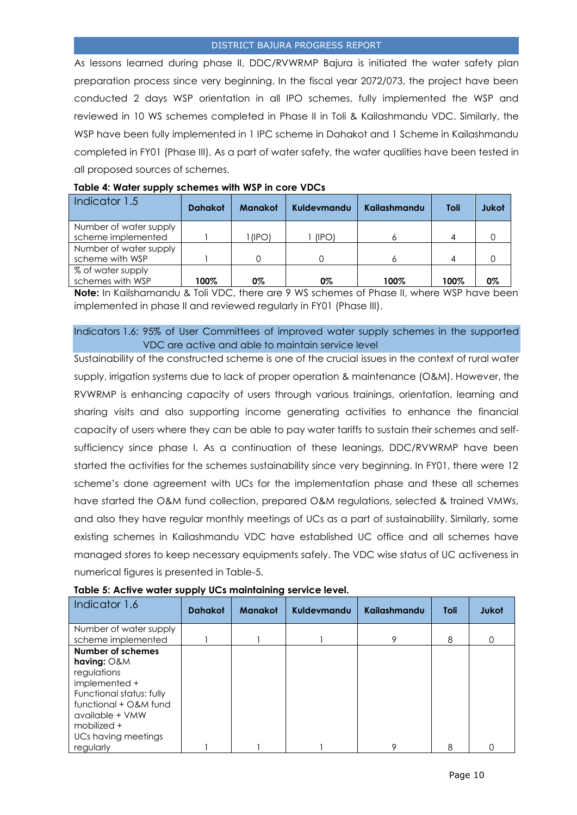As lessons learned during phase II, DDC/RVWRMP Bajura is initiated the water safety plan preparation process since very beginning. In the fiscal year 2072/073, the project have been conducted 2 days WSP orientation in all IPO schemes, fully implemented the WSP and reviewed in 10 WS schemes completed in Phase II in Toli & Kailashmandu VDC. Similarly, the WSP have been fully implemented in 1 IPC scheme in Dahakot and 1 Scheme in Kailashmandu completed in FY01 (Phase III). As a part of water safety, the water qualities have been tested in all proposed sources of schemes.

| Indicator 1.5          | <b>Dahakot</b> | <b>Manakot</b> | Kuldevmandu | Kailashmandu | <b>Toli</b> | Jukot |
|------------------------|----------------|----------------|-------------|--------------|-------------|-------|
| Number of water supply |                |                |             |              |             |       |
| scheme implemented     |                | (IPO)          | (IPO)       |              |             |       |
| Number of water supply |                |                |             |              |             |       |
| scheme with WSP        |                |                |             |              |             |       |
| % of water supply      |                |                |             |              |             |       |
| schemes with WSP       | 100%           | 0%             | 0%          | 100%         | 100%        | 0%    |

#### **Table 4: Water supply schemes with WSP in core VDCs**

**Note:** In Kailshamandu & Toli VDC, there are 9 WS schemes of Phase II, where WSP have been implemented in phase II and reviewed regularly in FY01 (Phase III).

#### Indicators 1.6: 95% of User Committees of improved water supply schemes in the supported VDC are active and able to maintain service level

Sustainability of the constructed scheme is one of the crucial issues in the context of rural water supply, irrigation systems due to lack of proper operation & maintenance (O&M). However, the RVWRMP is enhancing capacity of users through various trainings, orientation, learning and sharing visits and also supporting income generating activities to enhance the financial capacity of users where they can be able to pay water tariffs to sustain their schemes and selfsufficiency since phase I. As a continuation of these leanings, DDC/RVWRMP have been started the activities for the schemes sustainability since very beginning. In FY01, there were 12 scheme's done agreement with UCs for the implementation phase and these all schemes have started the O&M fund collection, prepared O&M regulations, selected & trained VMWs, and also they have regular monthly meetings of UCs as a part of sustainability. Similarly, some existing schemes in Kailashmandu VDC have established UC office and all schemes have managed stores to keep necessary equipments safely. The VDC wise status of UC activeness in numerical figures is presented in Table-5.

| Indicator 1.6              | <b>Dahakot</b> | <b>Manakot</b> | Kuldevmandu | Kailashmandu | Toli | Jukot |
|----------------------------|----------------|----------------|-------------|--------------|------|-------|
| Number of water supply     |                |                |             |              |      |       |
| scheme implemented         |                |                |             | 9            | 8    |       |
| <b>Number of schemes</b>   |                |                |             |              |      |       |
| having: O&M<br>regulations |                |                |             |              |      |       |
| implemented +              |                |                |             |              |      |       |
| Functional status: fully   |                |                |             |              |      |       |
| functional + O&M fund      |                |                |             |              |      |       |
| available + VMW            |                |                |             |              |      |       |
| mobilized +                |                |                |             |              |      |       |
| UCs having meetings        |                |                |             |              |      |       |
| regularly                  |                |                |             | 9            | 8    |       |

#### **Table 5: Active water supply UCs maintaining service level.**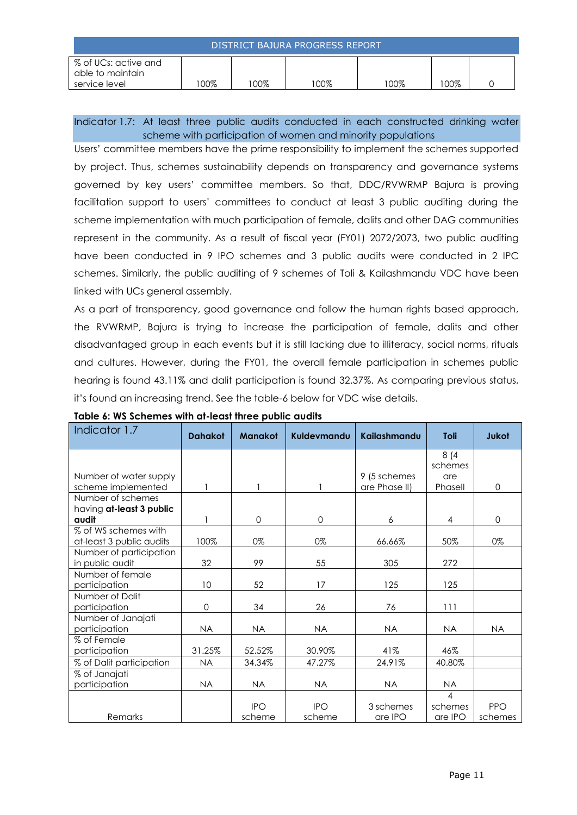| DISTRICT BAJURA PROGRESS REPORT                           |        |        |        |      |      |  |
|-----------------------------------------------------------|--------|--------|--------|------|------|--|
| % of UCs: active and<br>able to maintain<br>service level | $00\%$ | $00\%$ | $00\%$ | 100% | 100% |  |

Indicator 1.7: At least three public audits conducted in each constructed drinking water scheme with participation of women and minority populations

Users' committee members have the prime responsibility to implement the schemes supported by project. Thus, schemes sustainability depends on transparency and governance systems governed by key users' committee members. So that, DDC/RVWRMP Bajura is proving facilitation support to users' committees to conduct at least 3 public auditing during the scheme implementation with much participation of female, dalits and other DAG communities represent in the community. As a result of fiscal year (FY01) 2072/2073, two public auditing have been conducted in 9 IPO schemes and 3 public audits were conducted in 2 IPC schemes. Similarly, the public auditing of 9 schemes of Toli & Kailashmandu VDC have been linked with UCs general assembly.

As a part of transparency, good governance and follow the human rights based approach, the RVWRMP, Bajura is trying to increase the participation of female, dalits and other disadvantaged group in each events but it is still lacking due to illiteracy, social norms, rituals and cultures. However, during the FY01, the overall female participation in schemes public hearing is found 43.11% and dalit participation is found 32.37%. As comparing previous status, it's found an increasing trend. See the table-6 below for VDC wise details.

| Indicator 1.7            | <b>Dahakot</b> | <b>Manakot</b> | Kuldevmandu | <b>Kailashmandu</b> | <b>Toli</b>    | Jukot        |
|--------------------------|----------------|----------------|-------------|---------------------|----------------|--------------|
|                          |                |                |             |                     | 8(4)           |              |
|                          |                |                |             |                     | schemes        |              |
| Number of water supply   |                |                |             | 9 (5 schemes        | are            |              |
| scheme implemented       |                |                |             | are Phase II)       | Phasell        | $\mathbf{0}$ |
| Number of schemes        |                |                |             |                     |                |              |
| having at-least 3 public |                |                |             |                     |                |              |
| audit                    |                | $\Omega$       | $\mathbf 0$ | 6                   | 4              | $\mathbf 0$  |
| % of WS schemes with     |                |                |             |                     |                |              |
| at-least 3 public audits | 100%           | 0%             | 0%          | 66.66%              | 50%            | 0%           |
| Number of participation  |                |                |             |                     |                |              |
| in public audit          | 32             | 99             | 55          | 305                 | 272            |              |
| Number of female         |                |                |             |                     |                |              |
| participation            | 10             | 52             | 17          | 125                 | 125            |              |
| Number of Dalit          |                |                |             |                     |                |              |
| participation            | 0              | 34             | 26          | 76                  | 111            |              |
| Number of Janajati       |                |                |             |                     |                |              |
| participation            | <b>NA</b>      | <b>NA</b>      | <b>NA</b>   | <b>NA</b>           | <b>NA</b>      | <b>NA</b>    |
| % of Female              |                |                |             |                     |                |              |
| participation            | 31.25%         | 52.52%         | 30.90%      | 41%                 | 46%            |              |
| % of Dalit participation | <b>NA</b>      | 34.34%         | 47.27%      | 24.91%              | 40.80%         |              |
| % of Janajati            |                |                |             |                     |                |              |
| participation            | <b>NA</b>      | <b>NA</b>      | <b>NA</b>   | <b>NA</b>           | <b>NA</b>      |              |
|                          |                |                |             |                     | $\overline{4}$ |              |
|                          |                | <b>IPO</b>     | <b>IPO</b>  | 3 schemes           | schemes        | <b>PPO</b>   |
| Remarks                  |                | scheme         | scheme      | are IPO             | are IPO        | schemes      |

#### **Table 6: WS Schemes with at-least three public audits**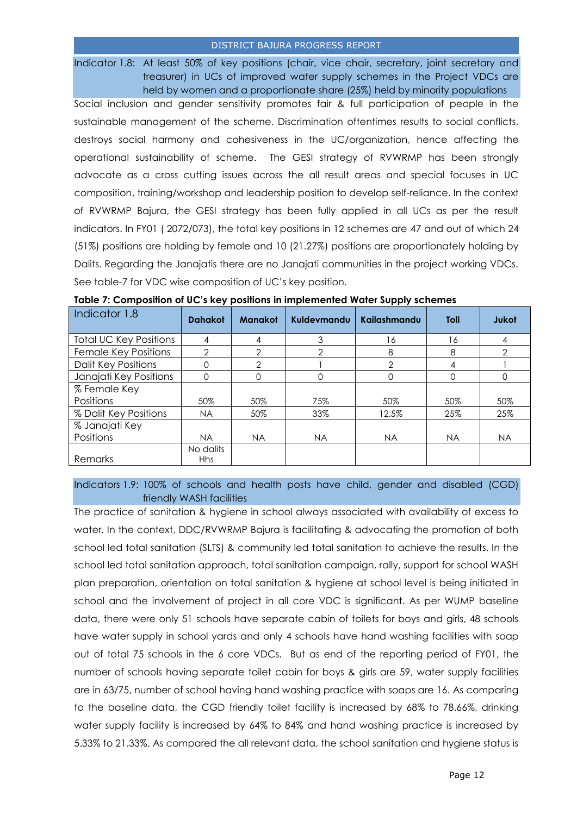Indicator 1.8: At least 50% of key positions (chair, vice chair, secretary, joint secretary and treasurer) in UCs of improved water supply schemes in the Project VDCs are held by women and a proportionate share (25%) held by minority populations

Social inclusion and gender sensitivity promotes fair & full participation of people in the sustainable management of the scheme. Discrimination oftentimes results to social conflicts, destroys social harmony and cohesiveness in the UC/organization, hence affecting the operational sustainability of scheme. The GESI strategy of RVWRMP has been strongly advocate as a cross cutting issues across the all result areas and special focuses in UC composition, training/workshop and leadership position to develop self-reliance. In the context of RVWRMP Bajura, the GESI strategy has been fully applied in all UCs as per the result indicators. In FY01 ( 2072/073), the total key positions in 12 schemes are 47 and out of which 24 (51%) positions are holding by female and 10 (21.27%) positions are proportionately holding by Dalits. Regarding the Janajatis there are no Janajati communities in the project working VDCs. See table-7 for VDC wise composition of UC's key position.

| Indicator 1.8                 | <b>Dahakot</b> | <b>Manakot</b> | Kuldevmandu   | Kailashmandu | <b>Toli</b> | <b>Jukot</b>   |
|-------------------------------|----------------|----------------|---------------|--------------|-------------|----------------|
| <b>Total UC Key Positions</b> | 4              | 4              | 3             | 16           | 16          | 4              |
| Female Key Positions          | $\mathcal{P}$  | $\overline{2}$ | $\mathcal{P}$ | 8            | 8           | $\overline{2}$ |
| <b>Dalit Key Positions</b>    | ი              | $\overline{2}$ |               | 2            | 4           |                |
| Janajati Key Positions        | 0              | $\Omega$       | 0             | 0            | 0           | 0              |
| % Female Key                  |                |                |               |              |             |                |
| Positions                     | 50%            | 50%            | 75%           | 50%          | 50%         | 50%            |
| % Dalit Key Positions         | <b>NA</b>      | 50%            | 33%           | 12.5%        | 25%         | 25%            |
| % Janajati Key                |                |                |               |              |             |                |
| Positions                     | <b>NA</b>      | <b>NA</b>      | <b>NA</b>     | <b>NA</b>    | <b>NA</b>   | <b>NA</b>      |
|                               | No dalits      |                |               |              |             |                |
| Remarks                       | <b>Hhs</b>     |                |               |              |             |                |

**Table 7: Composition of UC's key positions in implemented Water Supply schemes**

Indicators 1.9: 100% of schools and health posts have child, gender and disabled (CGD) friendly WASH facilities

The practice of sanitation & hygiene in school always associated with availability of excess to water. In the context, DDC/RVWRMP Bajura is facilitating & advocating the promotion of both school led total sanitation (SLTS) & community led total sanitation to achieve the results. In the school led total sanitation approach, total sanitation campaign, rally, support for school WASH plan preparation, orientation on total sanitation & hygiene at school level is being initiated in school and the involvement of project in all core VDC is significant. As per WUMP baseline data, there were only 51 schools have separate cabin of toilets for boys and girls, 48 schools have water supply in school yards and only 4 schools have hand washing facilities with soap out of total 75 schools in the 6 core VDCs. But as end of the reporting period of FY01, the number of schools having separate toilet cabin for boys & girls are 59, water supply facilities are in 63/75, number of school having hand washing practice with soaps are 16. As comparing to the baseline data, the CGD friendly toilet facility is increased by 68% to 78.66%, drinking water supply facility is increased by 64% to 84% and hand washing practice is increased by 5.33% to 21.33%. As compared the all relevant data, the school sanitation and hygiene status is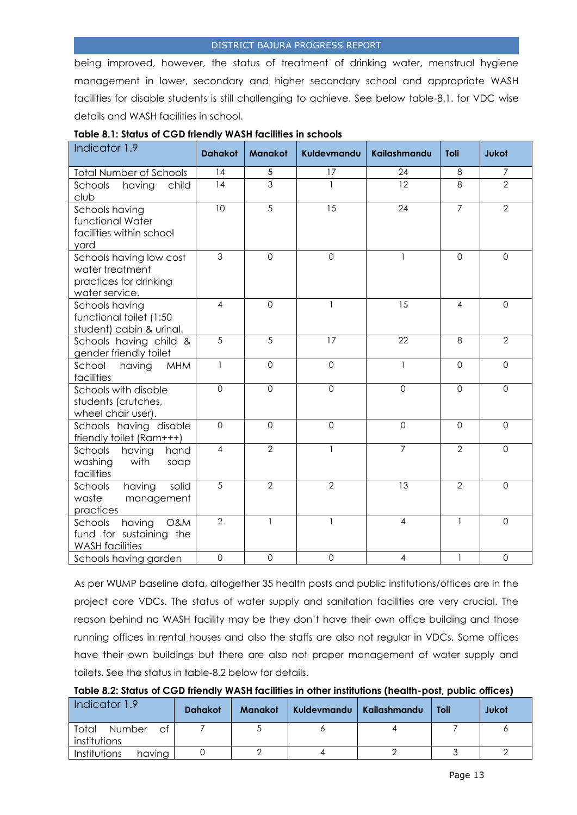being improved, however, the status of treatment of drinking water, menstrual hygiene management in lower, secondary and higher secondary school and appropriate WASH facilities for disable students is still challenging to achieve. See below table-8.1. for VDC wise details and WASH facilities in school.

| Indicator 1.9                                                                          | <b>Dahakot</b> | <b>Manakot</b> | Kuldevmandu    | Kailashmandu        | Toli           | <b>Jukot</b>   |
|----------------------------------------------------------------------------------------|----------------|----------------|----------------|---------------------|----------------|----------------|
| <b>Total Number of Schools</b>                                                         | 14             | 5              | 17             | 24                  | 8              | 7              |
| Schools<br>having<br>child<br>club                                                     | 14             | 3              | 1              | 12                  | 8              | $\overline{2}$ |
| Schools having<br>functional Water<br>facilities within school<br>yard                 | 10             | 5              | 15             | 24                  | $\overline{7}$ | 2              |
| Schools having low cost<br>water treatment<br>practices for drinking<br>water service. | 3              | $\mathbf 0$    | $\mathbf 0$    | $\mathbf{1}$        | $\mathbf 0$    | $\mathbf 0$    |
| Schools having<br>functional toilet (1:50<br>student) cabin & urinal.                  | 4              | $\overline{0}$ | 1              | 15                  | $\overline{4}$ | $\Omega$       |
| Schools having child &<br>gender friendly toilet                                       | 5              | 5              | 17             | 22                  | 8              | $\overline{2}$ |
| School<br>having<br><b>MHM</b><br>facilities                                           | $\mathbf{1}$   | $\overline{0}$ | $\overline{0}$ | $\mathbf{1}$        | $\overline{0}$ | $\overline{0}$ |
| Schools with disable<br>students (crutches,<br>wheel chair user).                      | $\mathbf 0$    | $\mathbf 0$    | $\overline{O}$ | $\mathsf{O}\xspace$ | $\overline{0}$ | $\overline{0}$ |
| Schools having disable<br>friendly toilet (Ram+++)                                     | $\overline{0}$ | $\overline{0}$ | $\mathbf 0$    | $\overline{0}$      | $\overline{0}$ | $\Omega$       |
| Schools<br>having<br>hand<br>washing<br>with<br>soap<br>facilities                     | 4              | $\overline{2}$ | 1              | $\overline{7}$      | $\overline{2}$ | $\Omega$       |
| solid<br>Schools<br>having<br>waste<br>management<br>practices                         | 5              | $\overline{2}$ | $\overline{2}$ | 13                  | $\overline{2}$ | $\Omega$       |
| having<br>Schools<br>O&M<br>fund for sustaining the<br><b>WASH</b> facilities          | $\overline{2}$ | $\mathbf{1}$   | 1              | 4                   | 1              | $\Omega$       |
| Schools having garden                                                                  | $\mathbf 0$    | $\mathbf 0$    | $\mathbf 0$    | 4                   | $\mathbf{1}$   | $\mathbf 0$    |

#### **Table 8.1: Status of CGD friendly WASH facilities in schools**

As per WUMP baseline data, altogether 35 health posts and public institutions/offices are in the project core VDCs. The status of water supply and sanitation facilities are very crucial. The reason behind no WASH facility may be they don't have their own office building and those running offices in rental houses and also the staffs are also not regular in VDCs. Some offices have their own buildings but there are also not proper management of water supply and toilets. See the status in table-8.2 below for details.

**Table 8.2: Status of CGD friendly WASH facilities in other institutions (health-post, public offices)**

| Indicator 1.9                          | <b>Dahakot</b> | Manakot | Kuldevmandu   Kailashmandu | Toli | Jukot |
|----------------------------------------|----------------|---------|----------------------------|------|-------|
| Total<br>Number<br>of.<br>institutions |                |         |                            |      |       |
| Institutions<br>having                 |                |         |                            |      |       |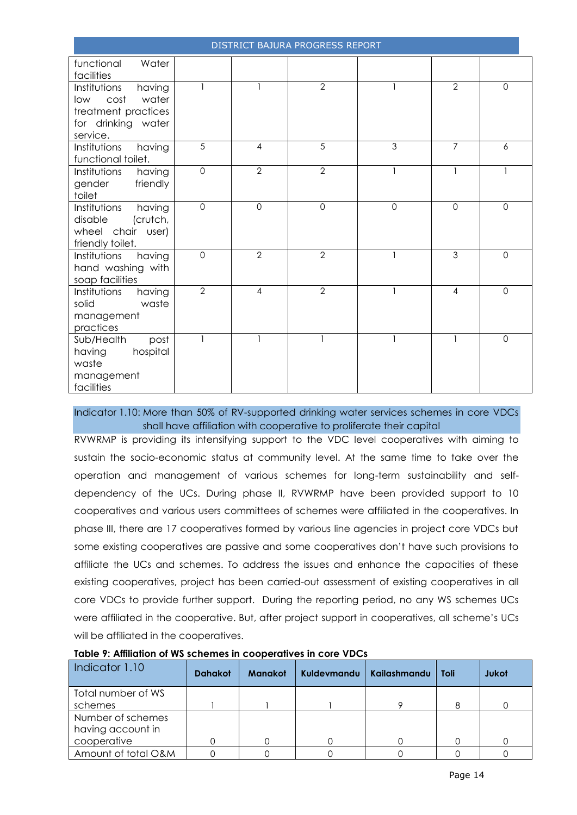|                                                                                                         |                     |                | DISTRICT BAJURA PROGRESS REPORT |              |                |                |
|---------------------------------------------------------------------------------------------------------|---------------------|----------------|---------------------------------|--------------|----------------|----------------|
| functional<br>Water<br>facilities                                                                       |                     |                |                                 |              |                |                |
| Institutions<br>having<br>water<br>cost<br>low<br>treatment practices<br>for drinking water<br>service. | $\mathbf{1}$        | $\mathbf{1}$   | $\overline{2}$                  | $\mathbf{1}$ | $\overline{2}$ | $\Omega$       |
| having<br>Institutions<br>functional toilet.                                                            | 5                   | $\overline{4}$ | 5                               | 3            | $\overline{7}$ | 6              |
| Institutions<br>having<br>gender<br>friendly<br>toilet                                                  | $\overline{0}$      | $\overline{2}$ | $\overline{2}$                  | $\mathbf{1}$ | 1              |                |
| Institutions<br>having<br>(crutch,<br>disable<br>wheel chair user)<br>friendly toilet.                  | $\mathsf{O}\xspace$ | $\mathbf 0$    | $\mathbf 0$                     | $\mathbf 0$  | $\mathbf 0$    | $\mathbf 0$    |
| Institutions<br>having<br>hand washing with<br>soap facilities                                          | $\mathbf{O}$        | $\overline{2}$ | $\overline{2}$                  |              | $\overline{3}$ | $\Omega$       |
| Institutions<br>having<br>solid<br>waste<br>management<br>practices                                     | $\overline{2}$      | $\overline{4}$ | $\overline{2}$                  | $\mathbf{1}$ | $\overline{4}$ | $\overline{0}$ |
| Sub/Health<br>post<br>hospital<br>having<br>waste<br>management<br>facilities                           | $\mathbf{1}$        | $\mathbf{1}$   | $\mathbf{1}$                    | $\mathbf{1}$ | $\mathbf{1}$   | $\Omega$       |

Indicator 1.10: More than 50% of RV-supported drinking water services schemes in core VDCs shall have affiliation with cooperative to proliferate their capital

RVWRMP is providing its intensifying support to the VDC level cooperatives with aiming to sustain the socio-economic status at community level. At the same time to take over the operation and management of various schemes for long-term sustainability and selfdependency of the UCs. During phase II, RVWRMP have been provided support to 10 cooperatives and various users committees of schemes were affiliated in the cooperatives. In phase III, there are 17 cooperatives formed by various line agencies in project core VDCs but some existing cooperatives are passive and some cooperatives don't have such provisions to affiliate the UCs and schemes. To address the issues and enhance the capacities of these existing cooperatives, project has been carried-out assessment of existing cooperatives in all core VDCs to provide further support. During the reporting period, no any WS schemes UCs were affiliated in the cooperative. But, after project support in cooperatives, all scheme's UCs will be affiliated in the cooperatives.

| Indicator 1.10      | <b>Dahakot</b> | <b>Manakot</b> | <b>Kuldevmandu</b> | Kailashmandu | Toli | Jukot |
|---------------------|----------------|----------------|--------------------|--------------|------|-------|
| Total number of WS  |                |                |                    |              |      |       |
| schemes             |                |                |                    |              |      |       |
| Number of schemes   |                |                |                    |              |      |       |
| having account in   |                |                |                    |              |      |       |
| cooperative         |                |                |                    |              |      |       |
| Amount of total O&M |                |                |                    |              |      |       |

#### **Table 9: Affiliation of WS schemes in cooperatives in core VDCs**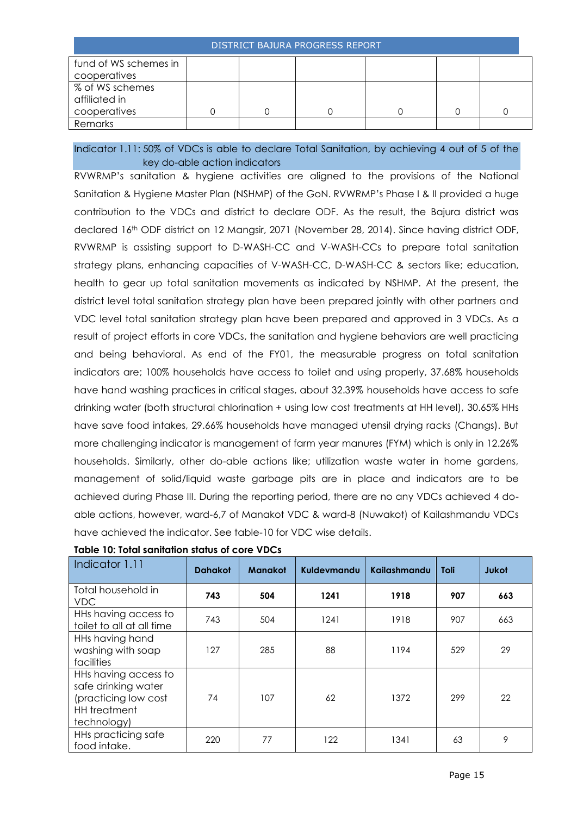| fund of WS schemes in |  |  |  |
|-----------------------|--|--|--|
| cooperatives          |  |  |  |
| % of WS schemes       |  |  |  |
| affiliated in         |  |  |  |
| cooperatives          |  |  |  |
| Remarks               |  |  |  |

## Indicator 1.11: 50% of VDCs is able to declare Total Sanitation, by achieving 4 out of 5 of the key do-able action indicators

RVWRMP's sanitation & hygiene activities are aligned to the provisions of the National Sanitation & Hygiene Master Plan (NSHMP) of the GoN. RVWRMP's Phase I & II provided a huge contribution to the VDCs and district to declare ODF. As the result, the Bajura district was declared 16th ODF district on 12 Mangsir, 2071 (November 28, 2014). Since having district ODF, RVWRMP is assisting support to D-WASH-CC and V-WASH-CCs to prepare total sanitation strategy plans, enhancing capacities of V-WASH-CC, D-WASH-CC & sectors like; education, health to gear up total sanitation movements as indicated by NSHMP. At the present, the district level total sanitation strategy plan have been prepared jointly with other partners and VDC level total sanitation strategy plan have been prepared and approved in 3 VDCs. As a result of project efforts in core VDCs, the sanitation and hygiene behaviors are well practicing and being behavioral. As end of the FY01, the measurable progress on total sanitation indicators are; 100% households have access to toilet and using properly, 37.68% households have hand washing practices in critical stages, about 32.39% households have access to safe drinking water (both structural chlorination + using low cost treatments at HH level), 30.65% HHs have save food intakes, 29.66% households have managed utensil drying racks (Changs). But more challenging indicator is management of farm year manures (FYM) which is only in 12.26% households. Similarly, other do-able actions like; utilization waste water in home gardens, management of solid/liquid waste garbage pits are in place and indicators are to be achieved during Phase III. During the reporting period, there are no any VDCs achieved 4 doable actions, however, ward-6,7 of Manakot VDC & ward-8 (Nuwakot) of Kailashmandu VDCs have achieved the indicator. See table-10 for VDC wise details.

| Indicator 1.11                                                                                     | <b>Dahakot</b> | <b>Manakot</b> | Kuldevmandu | Kailashmandu | Toli | <b>Jukot</b> |
|----------------------------------------------------------------------------------------------------|----------------|----------------|-------------|--------------|------|--------------|
| Total household in<br><b>VDC</b>                                                                   | 743            | 504            | 1241        | 1918         | 907  | 663          |
| HHs having access to<br>toilet to all at all time                                                  | 743            | 504            | 1241        | 1918         | 907  | 663          |
| HHs having hand<br>washing with soap<br>facilities                                                 | 127            | 285            | 88          | 1194         | 529  | 29           |
| HHs having access to<br>safe drinking water<br>(practicing low cost<br>HH treatment<br>technology) | 74             | 107            | 62          | 1372         | 299  | 22           |
| HHs practicing safe<br>food intake.                                                                | 220            | 77             | 122         | 1341         | 63   | 9            |

#### **Table 10: Total sanitation status of core VDCs**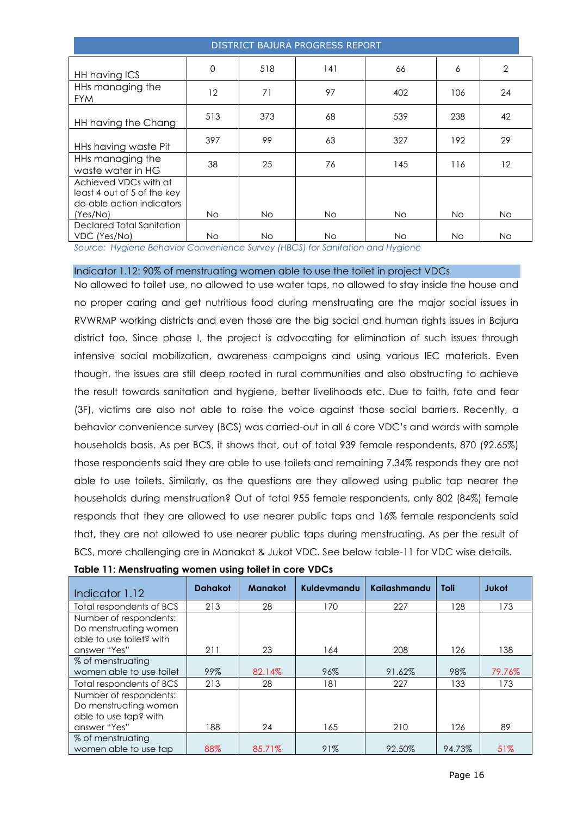| DISTRICT BAJURA PROGRESS REPORT                                                               |           |           |           |     |     |                |  |  |
|-----------------------------------------------------------------------------------------------|-----------|-----------|-----------|-----|-----|----------------|--|--|
| HH having ICS                                                                                 | 0         | 518       | 141       | 66  | 6   | $\overline{2}$ |  |  |
| HHs managing the<br><b>FYM</b>                                                                | 12        | 71        | 97        | 402 | 106 | 24             |  |  |
| HH having the Chang                                                                           | 513       | 373       | 68        | 539 | 238 | 42             |  |  |
| HHs having waste Pit                                                                          | 397       | 99        | 63        | 327 | 192 | 29             |  |  |
| HHs managing the<br>waste water in HG                                                         | 38        | 25        | 76        | 145 | 116 | 12             |  |  |
| Achieved VDCs with at<br>least 4 out of 5 of the key<br>do-able action indicators<br>(Yes/No) | <b>No</b> | <b>No</b> | <b>No</b> | No. | No. | <b>No</b>      |  |  |
| Declared Total Sanitation<br>VDC (Yes/No)                                                     | No.       | <b>No</b> | No        | No. | No. | No.            |  |  |

*Source: Hygiene Behavior Convenience Survey (HBCS) for Sanitation and Hygiene*

Indicator 1.12: 90% of menstruating women able to use the toilet in project VDCs

No allowed to toilet use, no allowed to use water taps, no allowed to stay inside the house and no proper caring and get nutritious food during menstruating are the major social issues in RVWRMP working districts and even those are the big social and human rights issues in Bajura district too. Since phase I, the project is advocating for elimination of such issues through intensive social mobilization, awareness campaigns and using various IEC materials. Even though, the issues are still deep rooted in rural communities and also obstructing to achieve the result towards sanitation and hygiene, better livelihoods etc. Due to faith, fate and fear (3F), victims are also not able to raise the voice against those social barriers. Recently, a behavior convenience survey (BCS) was carried-out in all 6 core VDC's and wards with sample households basis. As per BCS, it shows that, out of total 939 female respondents, 870 (92.65%) those respondents said they are able to use toilets and remaining 7.34% responds they are not able to use toilets. Similarly, as the questions are they allowed using public tap nearer the households during menstruation? Out of total 955 female respondents, only 802 (84%) female responds that they are allowed to use nearer public taps and 16% female respondents said that, they are not allowed to use nearer public taps during menstruating. As per the result of BCS, more challenging are in Manakot & Jukot VDC. See below table-11 for VDC wise details.

| Indicator 1.12                                                              | <b>Dahakot</b> | <b>Manakot</b> | Kuldevmandu | Kailashmandu | Toli   | Jukot  |
|-----------------------------------------------------------------------------|----------------|----------------|-------------|--------------|--------|--------|
| Total respondents of BCS                                                    | 213            | 28             | 170         | 227          | 128    | 173    |
| Number of respondents:<br>Do menstruating women<br>able to use toilet? with |                |                |             |              |        |        |
| answer "Yes"                                                                | 211            | 23             | 164         | 208          | 126    | 138    |
| % of menstruating<br>women able to use toilet                               | 99%            | 82.14%         | 96%         | 91.62%       | 98%    | 79.76% |
| Total respondents of BCS                                                    | 213            | 28             | 181         | 227          | 133    | 173    |
| Number of respondents:<br>Do menstruating women<br>able to use tap? with    |                |                |             |              |        |        |
| answer "Yes"                                                                | 188            | 24             | 165         | 210          | 126    | 89     |
| % of menstruating<br>women able to use tap                                  | 88%            | 85.71%         | 91%         | 92.50%       | 94.73% | 51%    |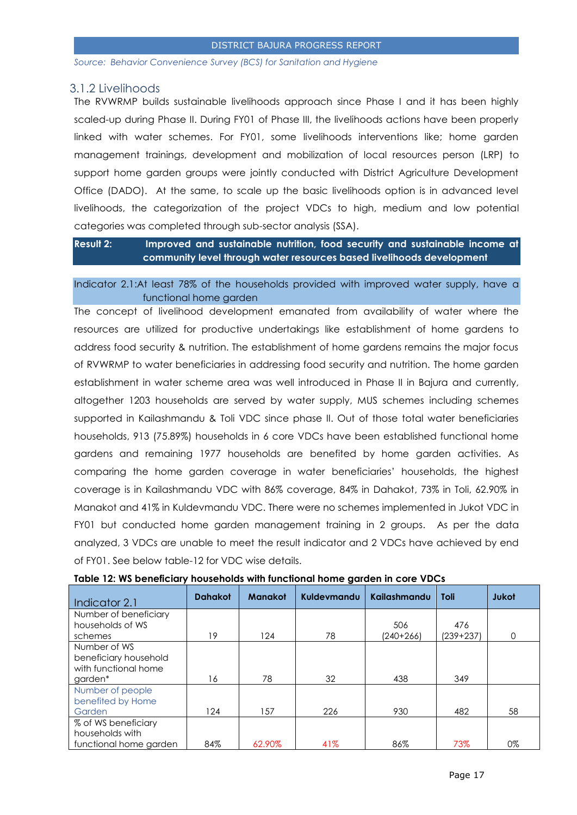*Source: Behavior Convenience Survey (BCS) for Sanitation and Hygiene*

#### <span id="page-16-0"></span>3.1.2 Livelihoods

The RVWRMP builds sustainable livelihoods approach since Phase I and it has been highly scaled-up during Phase II. During FY01 of Phase III, the livelihoods actions have been properly linked with water schemes. For FY01, some livelihoods interventions like; home garden management trainings, development and mobilization of local resources person (LRP) to support home garden groups were jointly conducted with District Agriculture Development Office (DADO). At the same, to scale up the basic livelihoods option is in advanced level livelihoods, the categorization of the project VDCs to high, medium and low potential categories was completed through sub-sector analysis (SSA).

**Result 2: Improved and sustainable nutrition, food security and sustainable income at community level through water resources based livelihoods development**

Indicator 2.1:At least 78% of the households provided with improved water supply, have a functional home garden

The concept of livelihood development emanated from availability of water where the resources are utilized for productive undertakings like establishment of home gardens to address food security & nutrition. The establishment of home gardens remains the major focus of RVWRMP to water beneficiaries in addressing food security and nutrition. The home garden establishment in water scheme area was well introduced in Phase II in Bajura and currently, altogether 1203 households are served by water supply, MUS schemes including schemes supported in Kailashmandu & Toli VDC since phase II. Out of those total water beneficiaries households, 913 (75.89%) households in 6 core VDCs have been established functional home gardens and remaining 1977 households are benefited by home garden activities. As comparing the home garden coverage in water beneficiaries' households, the highest coverage is in Kailashmandu VDC with 86% coverage, 84% in Dahakot, 73% in Toli, 62.90% in Manakot and 41% in Kuldevmandu VDC. There were no schemes implemented in Jukot VDC in FY01 but conducted home garden management training in 2 groups. As per the data analyzed, 3 VDCs are unable to meet the result indicator and 2 VDCs have achieved by end of FY01. See below table-12 for VDC wise details.

| Indicator 2.1                                                 | <b>Dahakot</b> | <b>Manakot</b> | Kuldevmandu | Kailashmandu | <b>Toli</b> | Jukot    |
|---------------------------------------------------------------|----------------|----------------|-------------|--------------|-------------|----------|
| Number of beneficiary<br>households of WS                     |                |                |             | 506          | 476         |          |
| schemes                                                       | 19             | 124            | 78          | $(240+266)$  | $(239+237)$ | $\Omega$ |
| Number of WS<br>beneficiary household<br>with functional home |                |                |             |              |             |          |
| garden*                                                       | 16             | 78             | 32          | 438          | 349         |          |
| Number of people<br>benefited by Home                         |                |                |             |              |             |          |
| Garden                                                        | 124            | 157            | 226         | 930          | 482         | 58       |
| % of WS beneficiary<br>households with                        |                |                |             |              |             |          |
| functional home garden                                        | 84%            | 62.90%         | 41%         | 86%          | 73%         | $0\%$    |

| Table 12: WS beneficiary households with functional home garden in core VDCs |
|------------------------------------------------------------------------------|
|------------------------------------------------------------------------------|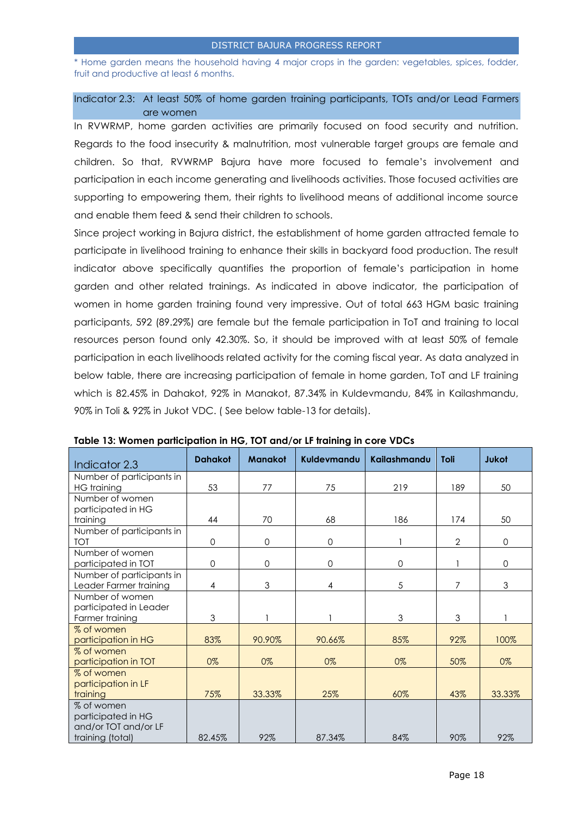\* Home garden means the household having 4 major crops in the garden: vegetables, spices, fodder, fruit and productive at least 6 months.

## Indicator 2.3: At least 50% of home garden training participants, TOTs and/or Lead Farmers are women

In RVWRMP, home garden activities are primarily focused on food security and nutrition. Regards to the food insecurity & malnutrition, most vulnerable target groups are female and children. So that, RVWRMP Bajura have more focused to female's involvement and participation in each income generating and livelihoods activities. Those focused activities are supporting to empowering them, their rights to livelihood means of additional income source and enable them feed & send their children to schools.

Since project working in Bajura district, the establishment of home garden attracted female to participate in livelihood training to enhance their skills in backyard food production. The result indicator above specifically quantifies the proportion of female's participation in home garden and other related trainings. As indicated in above indicator, the participation of women in home garden training found very impressive. Out of total 663 HGM basic training participants, 592 (89.29%) are female but the female participation in ToT and training to local resources person found only 42.30%. So, it should be improved with at least 50% of female participation in each livelihoods related activity for the coming fiscal year. As data analyzed in below table, there are increasing participation of female in home garden, ToT and LF training which is 82.45% in Dahakot, 92% in Manakot, 87.34% in Kuldevmandu, 84% in Kailashmandu, 90% in Toli & 92% in Jukot VDC. ( See below table-13 for details).

| Indicator 2.3             | <b>Dahakot</b> | <b>Manakot</b> | Kuldevmandu | Kailashmandu  | Toli | Jukot       |  |
|---------------------------|----------------|----------------|-------------|---------------|------|-------------|--|
| Number of participants in |                |                |             |               |      |             |  |
| <b>HG</b> training        | 53             | 77             | 75          | 219           | 189  | 50          |  |
| Number of women           |                |                |             |               |      |             |  |
| participated in HG        |                |                |             |               |      |             |  |
| training                  | 44             | 70             | 68          | 186           | 174  | 50          |  |
| Number of participants in |                |                |             |               |      |             |  |
| <b>TOT</b>                | $\mathbf{O}$   | $\mathbf 0$    | 0           |               | 2    | $\mathbf 0$ |  |
| Number of women           |                |                |             |               |      |             |  |
| participated in TOT       | 0              | $\mathbf 0$    | 0           | $\mathbf 0$   |      | $\mathbf 0$ |  |
| Number of participants in |                |                |             |               |      |             |  |
| Leader Farmer training    | 4              | 3              | 4           | 5             | 7    | 3           |  |
| Number of women           |                |                |             |               |      |             |  |
| participated in Leader    |                |                |             |               |      |             |  |
| Farmer training           | 3              |                |             | $\mathfrak 3$ | 3    |             |  |
| % of women                |                |                |             |               |      |             |  |
| participation in HG       | 83%            | 90.90%         | 90.66%      | 85%           | 92%  | 100%        |  |
| % of women                |                |                |             |               |      |             |  |
| participation in TOT      | 0%             | 0%             | 0%          | 0%            | 50%  | 0%          |  |
| % of women                |                |                |             |               |      |             |  |
| participation in LF       |                |                |             |               |      |             |  |
| training                  | 75%            | 33.33%         | 25%         | 60%           | 43%  | 33.33%      |  |
| % of women                |                |                |             |               |      |             |  |
| participated in HG        |                |                |             |               |      |             |  |
| and/or TOT and/or LF      |                |                |             |               |      |             |  |
| training (total)          | 82.45%         | 92%            | 87.34%      | 84%           | 90%  | 92%         |  |

**Table 13: Women participation in HG, TOT and/or LF training in core VDCs**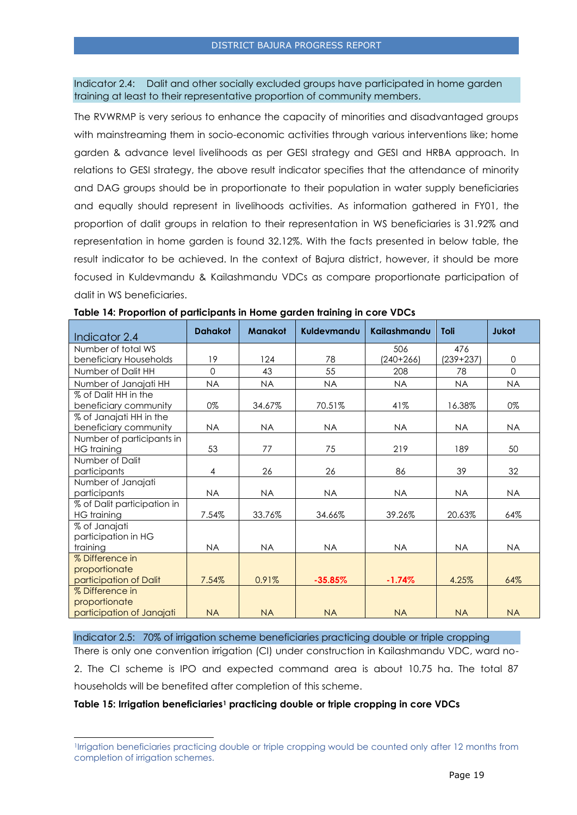Indicator 2.4: Dalit and other socially excluded groups have participated in home garden training at least to their representative proportion of community members.

The RVWRMP is very serious to enhance the capacity of minorities and disadvantaged groups with mainstreaming them in socio-economic activities through various interventions like; home garden & advance level livelihoods as per GESI strategy and GESI and HRBA approach. In relations to GESI strategy, the above result indicator specifies that the attendance of minority and DAG groups should be in proportionate to their population in water supply beneficiaries and equally should represent in livelihoods activities. As information gathered in FY01, the proportion of dalit groups in relation to their representation in WS beneficiaries is 31.92% and representation in home garden is found 32.12%. With the facts presented in below table, the result indicator to be achieved. In the context of Bajura district, however, it should be more focused in Kuldevmandu & Kailashmandu VDCs as compare proportionate participation of dalit in WS beneficiaries.

| Indicator 2.4               | <b>Dahakot</b> | <b>Manakot</b> | Kuldevmandu | Kailashmandu | <b>Toli</b> | <b>Jukot</b> |
|-----------------------------|----------------|----------------|-------------|--------------|-------------|--------------|
| Number of total WS          |                |                |             | 506          | 476         |              |
| beneficiary Households      | 19             | 124            | 78          | $(240+266)$  | $(239+237)$ | $\mathbf 0$  |
| Number of Dalit HH          | $\Omega$       | 43             | 55          | 208          | 78          | $\Omega$     |
| Number of Janajati HH       | <b>NA</b>      | <b>NA</b>      | <b>NA</b>   | <b>NA</b>    | <b>NA</b>   | <b>NA</b>    |
| % of Dalit HH in the        |                |                |             |              |             |              |
| beneficiary community       | 0%             | 34.67%         | 70.51%      | 41%          | 16.38%      | 0%           |
| % of Janajati HH in the     |                |                |             |              |             |              |
| beneficiary community       | <b>NA</b>      | <b>NA</b>      | <b>NA</b>   | <b>NA</b>    | <b>NA</b>   | <b>NA</b>    |
| Number of participants in   |                |                |             |              |             |              |
| <b>HG</b> training          | 53             | 77             | 75          | 219          | 189         | 50           |
| Number of Dalit             |                |                |             |              |             |              |
| participants                | 4              | 26             | 26          | 86           | 39          | 32           |
| Number of Janajati          |                |                |             |              |             |              |
| participants                | <b>NA</b>      | <b>NA</b>      | <b>NA</b>   | <b>NA</b>    | <b>NA</b>   | <b>NA</b>    |
| % of Dalit participation in |                |                |             |              |             |              |
| <b>HG</b> training          | 7.54%          | 33.76%         | 34.66%      | 39.26%       | 20.63%      | 64%          |
| % of Janajati               |                |                |             |              |             |              |
| participation in HG         |                |                |             |              |             |              |
| training                    | <b>NA</b>      | <b>NA</b>      | <b>NA</b>   | <b>NA</b>    | <b>NA</b>   | <b>NA</b>    |
| % Difference in             |                |                |             |              |             |              |
| proportionate               |                |                |             |              |             |              |
| participation of Dalit      | 7.54%          | 0.91%          | $-35.85%$   | $-1.74%$     | 4.25%       | 64%          |
| % Difference in             |                |                |             |              |             |              |
| proportionate               |                |                |             |              |             |              |
| participation of Janajati   | <b>NA</b>      | <b>NA</b>      | <b>NA</b>   | <b>NA</b>    | <b>NA</b>   | <b>NA</b>    |

**Table 14: Proportion of participants in Home garden training in core VDCs**

Indicator 2.5: 70% of irrigation scheme beneficiaries practicing double or triple cropping

There is only one convention irrigation (CI) under construction in Kailashmandu VDC, ward no-2. The CI scheme is IPO and expected command area is about 10.75 ha. The total 87 households will be benefited after completion of this scheme.

#### **Table 15: Irrigation beneficiaries<sup>1</sup> practicing double or triple cropping in core VDCs**

l

<sup>1</sup> Irrigation beneficiaries practicing double or triple cropping would be counted only after 12 months from completion of irrigation schemes.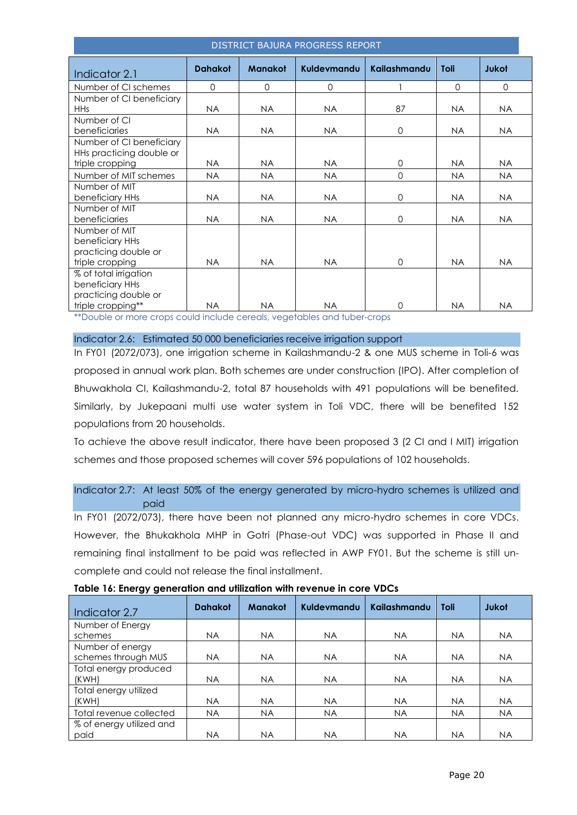| DISTRICT BAJURA PROGRESS REPORT |                               |                |                                                    |              |           |              |  |  |
|---------------------------------|-------------------------------|----------------|----------------------------------------------------|--------------|-----------|--------------|--|--|
| Indicator 2.1                   | <b>Dahakot</b>                | <b>Manakot</b> | Kuldevmandu                                        | Kailashmandu | Toli      | <b>Jukot</b> |  |  |
| Number of CI schemes            | $\Omega$                      | $\Omega$       | 0                                                  |              | $\Omega$  | $\Omega$     |  |  |
| Number of CI beneficiary        |                               |                |                                                    |              |           |              |  |  |
| <b>HHs</b>                      | <b>NA</b>                     | <b>NA</b>      | <b>NA</b>                                          | 87           | <b>NA</b> | <b>NA</b>    |  |  |
| Number of CI                    |                               |                |                                                    |              |           |              |  |  |
| beneficiaries                   | <b>NA</b>                     | <b>NA</b>      | <b>NA</b>                                          | $\mathbf 0$  | <b>NA</b> | <b>NA</b>    |  |  |
| Number of CI beneficiary        |                               |                |                                                    |              |           |              |  |  |
| HHs practicing double or        |                               |                |                                                    |              |           |              |  |  |
| triple cropping                 | NA.                           | <b>NA</b>      | <b>NA</b>                                          | $\Omega$     | <b>NA</b> | <b>NA</b>    |  |  |
| Number of MIT schemes           | <b>NA</b>                     | <b>NA</b>      | <b>NA</b>                                          | $\Omega$     | <b>NA</b> | <b>NA</b>    |  |  |
| Number of MIT                   |                               |                |                                                    |              |           |              |  |  |
| beneficiary HHs                 | <b>NA</b>                     | NA             | <b>NA</b>                                          | $\mathbf 0$  | <b>NA</b> | <b>NA</b>    |  |  |
| Number of MIT                   |                               |                |                                                    |              |           |              |  |  |
| beneficiaries                   | <b>NA</b>                     | <b>NA</b>      | <b>NA</b>                                          | $\Omega$     | <b>NA</b> | <b>NA</b>    |  |  |
| Number of MIT                   |                               |                |                                                    |              |           |              |  |  |
| beneficiary HHs                 |                               |                |                                                    |              |           |              |  |  |
| practicing double or            |                               |                |                                                    |              |           |              |  |  |
| triple cropping                 | <b>NA</b>                     | <b>NA</b>      | <b>NA</b>                                          | $\Omega$     | <b>NA</b> | <b>NA</b>    |  |  |
| % of total irrigation           |                               |                |                                                    |              |           |              |  |  |
| beneficiary HHs                 |                               |                |                                                    |              |           |              |  |  |
| practicing double or            |                               |                |                                                    |              |           |              |  |  |
| triple cropping**               | <b>NA</b><br><b>THE R. P.</b> | <b>NA</b>      | <b>NA</b><br><b>LAND 10</b><br><b>CENT COMPANY</b> | $\Omega$     | <b>NA</b> | <b>NA</b>    |  |  |

\*Double or more crops could include cereals, vegetables and tuber-crops

#### Indicator 2.6: Estimated 50 000 beneficiaries receive irrigation support

In FY01 (2072/073), one irrigation scheme in Kailashmandu-2 & one MUS scheme in Toli-6 was proposed in annual work plan. Both schemes are under construction (IPO). After completion of Bhuwakhola CI, Kailashmandu-2, total 87 households with 491 populations will be benefited. Similarly, by Jukepaani multi use water system in Toli VDC, there will be benefited 152 populations from 20 households.

To achieve the above result indicator, there have been proposed 3 (2 CI and I MIT) irrigation schemes and those proposed schemes will cover 596 populations of 102 households.

# Indicator 2.7: At least 50% of the energy generated by micro-hydro schemes is utilized and paid

In FY01 (2072/073), there have been not planned any micro-hydro schemes in core VDCs. However, the Bhukakhola MHP in Gotri (Phase-out VDC) was supported in Phase II and remaining final installment to be paid was reflected in AWP FY01. But the scheme is still uncomplete and could not release the final installment.

| Indicator 2.7            | <b>Dahakot</b> | <b>Manakot</b> | Kuldevmandu | <b>Kailashmandu</b> | Toli      | <b>Jukot</b> |
|--------------------------|----------------|----------------|-------------|---------------------|-----------|--------------|
| Number of Energy         |                |                |             |                     |           |              |
| schemes                  | <b>NA</b>      | <b>NA</b>      | NA.         | NA.                 | NA.       | <b>NA</b>    |
| Number of energy         |                |                |             |                     |           |              |
| schemes through MUS      | <b>NA</b>      | <b>NA</b>      | <b>NA</b>   | <b>NA</b>           | <b>NA</b> | <b>NA</b>    |
| Total energy produced    |                |                |             |                     |           |              |
| (KWH)                    | <b>NA</b>      | <b>NA</b>      | <b>NA</b>   | NA.                 | <b>NA</b> | <b>NA</b>    |
| Total energy utilized    |                |                |             |                     |           |              |
| (KWH)                    | <b>NA</b>      | <b>NA</b>      | <b>NA</b>   | <b>NA</b>           | <b>NA</b> | <b>NA</b>    |
| Total revenue collected  | <b>NA</b>      | <b>NA</b>      | <b>NA</b>   | <b>NA</b>           | <b>NA</b> | <b>NA</b>    |
| % of energy utilized and |                |                |             |                     |           |              |
| paid                     | ΝA             | <b>NA</b>      | <b>NA</b>   | NA                  | <b>NA</b> | NA           |

|  | Table 16: Energy generation and utilization with revenue in core VDCs |  |  |  |
|--|-----------------------------------------------------------------------|--|--|--|
|  |                                                                       |  |  |  |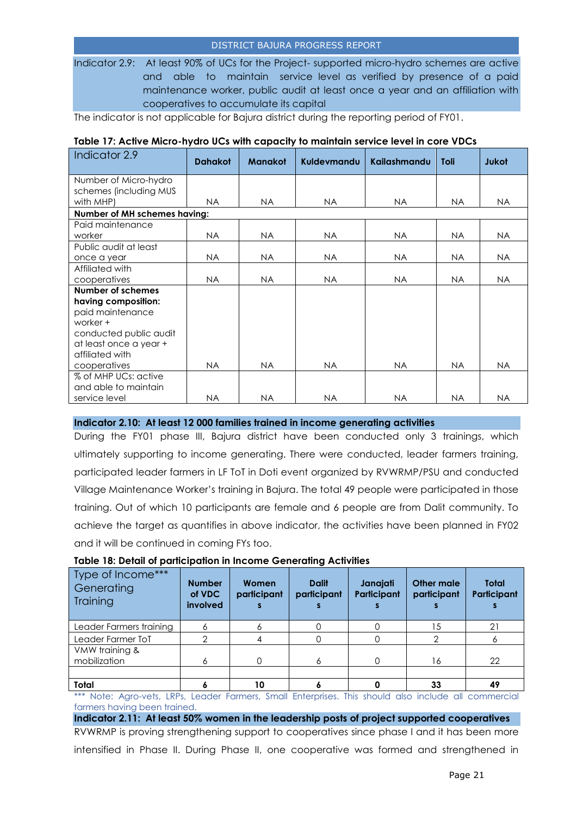Indicator 2.9: At least 90% of UCs for the Project- supported micro-hydro schemes are active and able to maintain service level as verified by presence of a paid maintenance worker, public audit at least once a year and an affiliation with cooperatives to accumulate its capital

The indicator is not applicable for Bajura district during the reporting period of FY01.

| Indicator 2.9                | <b>Dahakot</b> | <b>Manakot</b> | Kuldevmandu | <b>Kailashmandu</b> | <b>Toli</b> | <b>Jukot</b> |
|------------------------------|----------------|----------------|-------------|---------------------|-------------|--------------|
| Number of Micro-hydro        |                |                |             |                     |             |              |
| schemes (including MUS       |                |                |             |                     |             |              |
| with MHP)                    | NA.            | NA.            | NA.         | <b>NA</b>           | NA.         | <b>NA</b>    |
| Number of MH schemes having: |                |                |             |                     |             |              |
| Paid maintenance             |                |                |             |                     |             |              |
| worker                       | NA.            | NA             | <b>NA</b>   | <b>NA</b>           | <b>NA</b>   | <b>NA</b>    |
| Public audit at least        |                |                |             |                     |             |              |
| once a year                  | NA.            | NA.            | <b>NA</b>   | <b>NA</b>           | <b>NA</b>   | NA.          |
| Affiliated with              |                |                |             |                     |             |              |
| cooperatives                 | NA.            | NA.            | NA.         | <b>NA</b>           | NA.         | <b>NA</b>    |
| Number of schemes            |                |                |             |                     |             |              |
| having composition:          |                |                |             |                     |             |              |
| paid maintenance             |                |                |             |                     |             |              |
| worker +                     |                |                |             |                     |             |              |
| conducted public audit       |                |                |             |                     |             |              |
| at least once a year +       |                |                |             |                     |             |              |
| affiliated with              |                |                |             |                     |             |              |
| cooperatives                 | NA.            | NA.            | NA.         | NA.                 | NA.         | <b>NA</b>    |
| % of MHP UCs: active         |                |                |             |                     |             |              |
| and able to maintain         |                |                |             |                     |             |              |
| service level                | <b>NA</b>      | <b>NA</b>      | <b>NA</b>   | <b>NA</b>           | <b>NA</b>   | <b>NA</b>    |

#### **Table 17: Active Micro-hydro UCs with capacity to maintain service level in core VDCs**

#### **Indicator 2.10: At least 12 000 families trained in income generating activities**

During the FY01 phase III, Bajura district have been conducted only 3 trainings, which ultimately supporting to income generating. There were conducted, leader farmers training, participated leader farmers in LF ToT in Doti event organized by RVWRMP/PSU and conducted Village Maintenance Worker's training in Bajura. The total 49 people were participated in those training. Out of which 10 participants are female and 6 people are from Dalit community. To achieve the target as quantifies in above indicator, the activities have been planned in FY02 and it will be continued in coming FYs too.

| Type of Income***<br>Generating<br>Training | <b>Number</b><br>of VDC<br><b>involved</b> | Women<br>participant | <b>Dalit</b><br>participant | Janajati<br><b>Participant</b> | Other male<br>participant | Total<br>Participant |
|---------------------------------------------|--------------------------------------------|----------------------|-----------------------------|--------------------------------|---------------------------|----------------------|
| Leader Farmers training                     | Ô                                          |                      |                             |                                | 15                        | 21                   |
| Leader Farmer ToT                           | $\Omega$                                   |                      |                             |                                |                           | o                    |
| VMW training &<br>mobilization              | 6                                          |                      |                             | O                              | 16                        | 22                   |
|                                             |                                            |                      |                             |                                |                           |                      |
| Total                                       |                                            | 10                   |                             |                                | 33                        | 49                   |

#### **Table 18: Detail of participation in Income Generating Activities**

\*\* Note: Agro-vets, LRPs, Leader Farmers, Small Enterprises. This should also include all commercial farmers having been trained.

**Indicator 2.11: At least 50% women in the leadership posts of project supported cooperatives** RVWRMP is proving strengthening support to cooperatives since phase I and it has been more intensified in Phase II. During Phase II, one cooperative was formed and strengthened in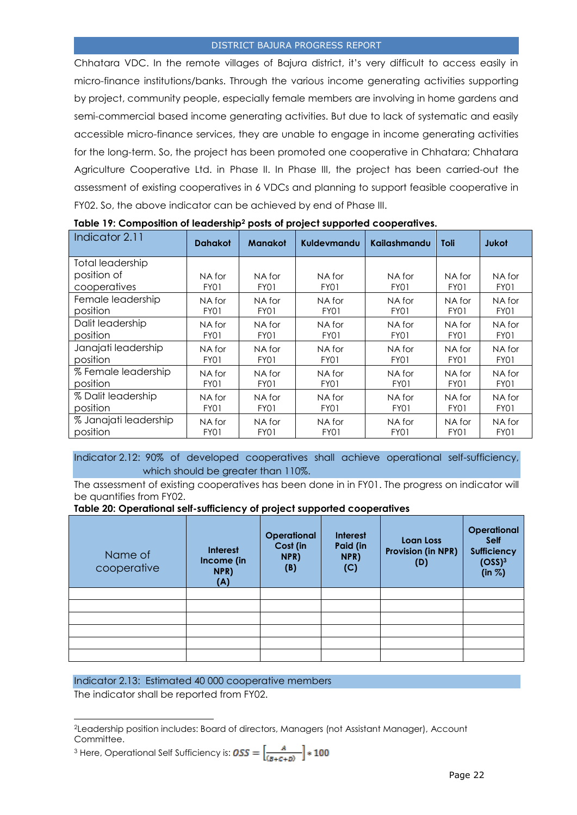Chhatara VDC. In the remote villages of Bajura district, it's very difficult to access easily in micro-finance institutions/banks. Through the various income generating activities supporting by project, community people, especially female members are involving in home gardens and semi-commercial based income generating activities. But due to lack of systematic and easily accessible micro-finance services, they are unable to engage in income generating activities for the long-term. So, the project has been promoted one cooperative in Chhatara; Chhatara Agriculture Cooperative Ltd. in Phase II. In Phase III, the project has been carried-out the assessment of existing cooperatives in 6 VDCs and planning to support feasible cooperative in FY02. So, the above indicator can be achieved by end of Phase III.

| Indicator 2.11          | <b>Dahakot</b> | <b>Manakot</b> | Kuldevmandu | Kailashmandu | <b>Toli</b> | Jukot       |
|-------------------------|----------------|----------------|-------------|--------------|-------------|-------------|
| <b>Total leadership</b> |                |                |             |              |             |             |
| position of             | NA for         | NA for         | NA for      | NA for       | NA for      | NA for      |
| cooperatives            | FY01           | FY01           | FY01        | FY01         | FY01        | FY01        |
| Female leadership       | NA for         | NA for         | NA for      | NA for       | NA for      | NA for      |
| position                | FY01           | FY01           | FY01        | FY01         | FY01        | FY01        |
| Dalit leadership        | NA for         | NA for         | NA for      | NA for       | NA for      | NA for      |
| position                | FY01           | FY01           | FY01        | FY01         | FY01        | FY01        |
| Janajati leadership     | NA for         | NA for         | NA for      | NA for       | NA for      | NA for      |
| position                | FY01           | FY01           | FY01        | FY01         | FY01        | FY01        |
| % Female leadership     | NA for         | NA for         | NA for      | NA for       | NA for      | NA for      |
| position                | FY01           | FY01           | FY01        | FY01         | FY01        | FY01        |
| % Dalit leadership      | NA for         | NA for         | NA for      | NA for       | NA for      | NA for      |
| position                | FY01           | FY01           | FY01        | FY01         | FY01        | FY01        |
| % Janajati leadership   | NA for         | NA for         | NA for      | NA for       | NA for      | NA for      |
| position                | FY01           | FY01           | FY01        | <b>FY01</b>  | FY01        | <b>FY01</b> |

**Table 19: Composition of leadership<sup>2</sup> posts of project supported cooperatives.**

Indicator 2.12: 90% of developed cooperatives shall achieve operational self-sufficiency, which should be greater than 110%.

The assessment of existing cooperatives has been done in in FY01. The progress on indicator will be quantifies from FY02.

#### **Table 20: Operational self-sufficiency of project supported cooperatives**

| Name of<br>cooperative | <b>Interest</b><br>Income (in<br>NPR)<br>(A) | <b>Operational</b><br>Cost (in<br>NPR)<br>(B) | <b>Interest</b><br>Paid (in<br>NPR)<br>(C) | Loan Loss<br><b>Provision (in NPR)</b><br>(D) | Operational<br><b>Self</b><br><b>Sufficiency</b><br>(OSS) <sup>3</sup><br>(in %) |
|------------------------|----------------------------------------------|-----------------------------------------------|--------------------------------------------|-----------------------------------------------|----------------------------------------------------------------------------------|
|                        |                                              |                                               |                                            |                                               |                                                                                  |
|                        |                                              |                                               |                                            |                                               |                                                                                  |
|                        |                                              |                                               |                                            |                                               |                                                                                  |
|                        |                                              |                                               |                                            |                                               |                                                                                  |
|                        |                                              |                                               |                                            |                                               |                                                                                  |
|                        |                                              |                                               |                                            |                                               |                                                                                  |

#### Indicator 2.13: Estimated 40 000 cooperative members

The indicator shall be reported from FY02.

l

<sup>3</sup> Here, Operational Self Sufficiency is: 
$$
0SS = \left[\frac{A}{(B+C+D)}\right] * 100
$$

<sup>2</sup>Leadership position includes: Board of directors, Managers (not Assistant Manager), Account Committee. m.  $\overline{a}$ - 7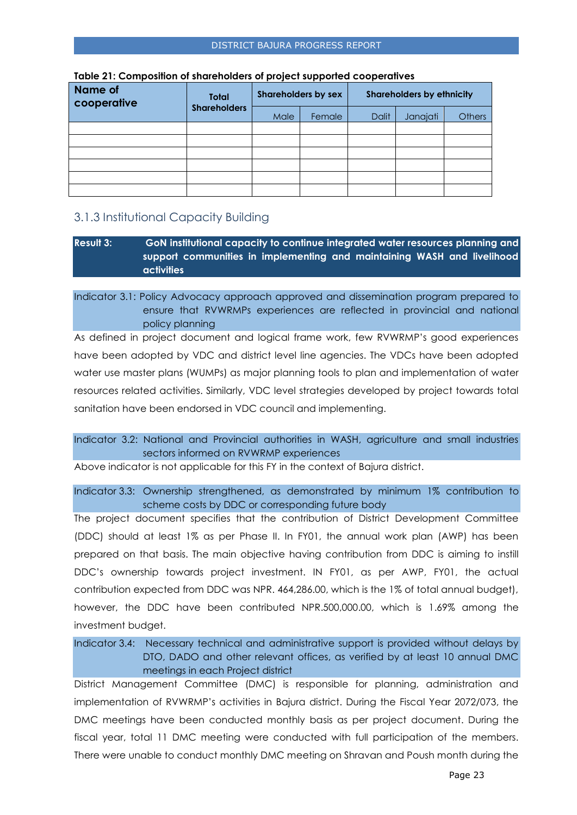| <b>Name of</b><br>cooperative | <b>Total</b>        |      | <b>Shareholders by sex</b> |       | <b>Shareholders by ethnicity</b> |               |
|-------------------------------|---------------------|------|----------------------------|-------|----------------------------------|---------------|
|                               | <b>Shareholders</b> | Male | Female                     | Dalit | Janajati                         | <b>Others</b> |
|                               |                     |      |                            |       |                                  |               |
|                               |                     |      |                            |       |                                  |               |
|                               |                     |      |                            |       |                                  |               |
|                               |                     |      |                            |       |                                  |               |
|                               |                     |      |                            |       |                                  |               |
|                               |                     |      |                            |       |                                  |               |

#### **Table 21: Composition of shareholders of project supported cooperatives**

# <span id="page-22-0"></span>3.1.3 Institutional Capacity Building

## **Result 3: GoN institutional capacity to continue integrated water resources planning and support communities in implementing and maintaining WASH and livelihood activities**

## Indicator 3.1: Policy Advocacy approach approved and dissemination program prepared to ensure that RVWRMPs experiences are reflected in provincial and national policy planning

As defined in project document and logical frame work, few RVWRMP's good experiences have been adopted by VDC and district level line agencies. The VDCs have been adopted water use master plans (WUMPs) as major planning tools to plan and implementation of water resources related activities. Similarly, VDC level strategies developed by project towards total sanitation have been endorsed in VDC council and implementing.

## Indicator 3.2: National and Provincial authorities in WASH, agriculture and small industries sectors informed on RVWRMP experiences

Above indicator is not applicable for this FY in the context of Bajura district.

Indicator 3.3: Ownership strengthened, as demonstrated by minimum 1% contribution to scheme costs by DDC or corresponding future body

The project document specifies that the contribution of District Development Committee (DDC) should at least 1% as per Phase II. In FY01, the annual work plan (AWP) has been prepared on that basis. The main objective having contribution from DDC is aiming to instill DDC's ownership towards project investment. IN FY01, as per AWP, FY01, the actual contribution expected from DDC was NPR. 464,286.00, which is the 1% of total annual budget), however, the DDC have been contributed NPR.500,000.00, which is 1.69% among the investment budget.

# Indicator 3.4: Necessary technical and administrative support is provided without delays by DTO, DADO and other relevant offices, as verified by at least 10 annual DMC meetings in each Project district

District Management Committee (DMC) is responsible for planning, administration and implementation of RVWRMP's activities in Bajura district. During the Fiscal Year 2072/073, the DMC meetings have been conducted monthly basis as per project document. During the fiscal year, total 11 DMC meeting were conducted with full participation of the members. There were unable to conduct monthly DMC meeting on Shravan and Poush month during the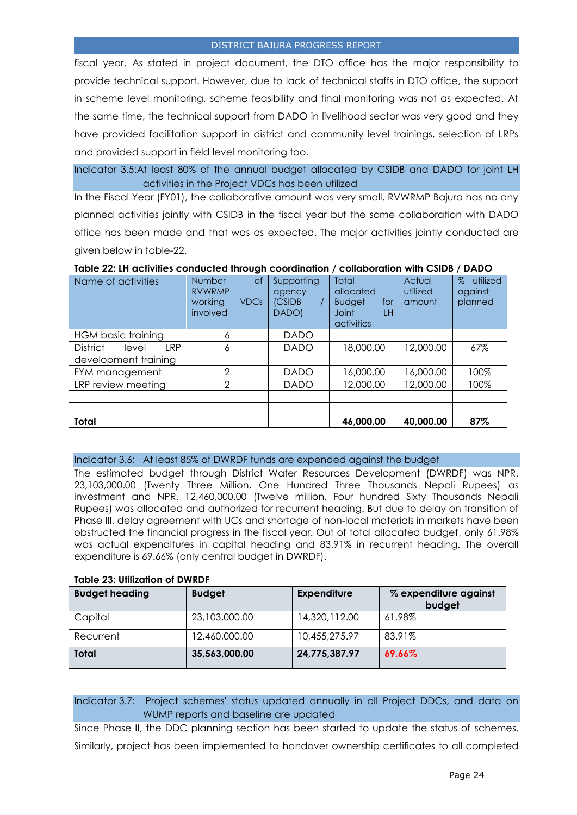fiscal year. As stated in project document, the DTO office has the major responsibility to provide technical support. However, due to lack of technical staffs in DTO office, the support in scheme level monitoring, scheme feasibility and final monitoring was not as expected. At the same time, the technical support from DADO in livelihood sector was very good and they have provided facilitation support in district and community level trainings, selection of LRPs and provided support in field level monitoring too.

Indicator 3.5:At least 80% of the annual budget allocated by CSIDB and DADO for joint LH activities in the Project VDCs has been utilized

In the Fiscal Year (FY01), the collaborative amount was very small. RVWRMP Bajura has no any planned activities jointly with CSIDB in the fiscal year but the some collaboration with DADO office has been made and that was as expected. The major activities jointly conducted are given below in table-22.

| Table 22: LH activities conducted through coordination / collaboration with CSIDB / DADO |  |
|------------------------------------------------------------------------------------------|--|
|------------------------------------------------------------------------------------------|--|

| Name of activities               | $\circ$ f<br><b>Number</b><br><b>RVWRMP</b><br>working<br><b>VDCs</b><br>involved | Supporting<br><i>agency</i><br>(CSIDB<br>DADO) | <b>Total</b><br>allocated<br><b>Budget</b><br>for<br><b>Joint</b><br>LH<br>activities | Actual<br>utilized<br>amount | $\%$<br>utilized<br>against<br>planned |
|----------------------------------|-----------------------------------------------------------------------------------|------------------------------------------------|---------------------------------------------------------------------------------------|------------------------------|----------------------------------------|
| HGM basic training               | 6                                                                                 | <b>DADO</b>                                    |                                                                                       |                              |                                        |
| <b>District</b><br>I RP<br>level | 6                                                                                 | <b>DADO</b>                                    | 18,000.00                                                                             | 12,000.00                    | 67%                                    |
| development training             |                                                                                   |                                                |                                                                                       |                              |                                        |
| FYM management                   | ↷                                                                                 | <b>DADO</b>                                    | 16,000.00                                                                             | 16,000.00                    | 100%                                   |
| LRP review meeting               | ∩                                                                                 | <b>DADO</b>                                    | 12,000.00                                                                             | 12,000.00                    | 100%                                   |
|                                  |                                                                                   |                                                |                                                                                       |                              |                                        |
|                                  |                                                                                   |                                                |                                                                                       |                              |                                        |
| <b>Total</b>                     |                                                                                   |                                                | 46,000.00                                                                             | 40,000.00                    | 87%                                    |

#### Indicator 3.6: At least 85% of DWRDF funds are expended against the budget

The estimated budget through District Water Resources Development (DWRDF) was NPR. 23,103,000.00 (Twenty Three Million, One Hundred Three Thousands Nepali Rupees) as investment and NPR. 12,460,000.00 (Twelve million, Four hundred Sixty Thousands Nepali Rupees) was allocated and authorized for recurrent heading. But due to delay on transition of Phase III, delay agreement with UCs and shortage of non-local materials in markets have been obstructed the financial progress in the fiscal year. Out of total allocated budget, only 61.98% was actual expenditures in capital heading and 83.91% in recurrent heading. The overall expenditure is 69.66% (only central budget in DWRDF).

| IGDIG 20. UMILGIIUM OF PIINDI |               |                    |                                 |  |  |
|-------------------------------|---------------|--------------------|---------------------------------|--|--|
| <b>Budget heading</b>         | <b>Budget</b> | <b>Expenditure</b> | % expenditure against<br>budget |  |  |
| Capital                       | 23,103,000.00 | 14,320,112.00      | 61.98%                          |  |  |
| Recurrent                     | 12,460,000.00 | 10,455,275.97      | 83.91%                          |  |  |
| <b>Total</b>                  | 35,563,000.00 | 24,775,387.97      | 69.66%                          |  |  |

## **Table 23: Utilization of DWRDF**

# Indicator 3.7: Project schemes' status updated annually in all Project DDCs, and data on WUMP reports and baseline are updated

Since Phase II, the DDC planning section has been started to update the status of schemes. Similarly, project has been implemented to handover ownership certificates to all completed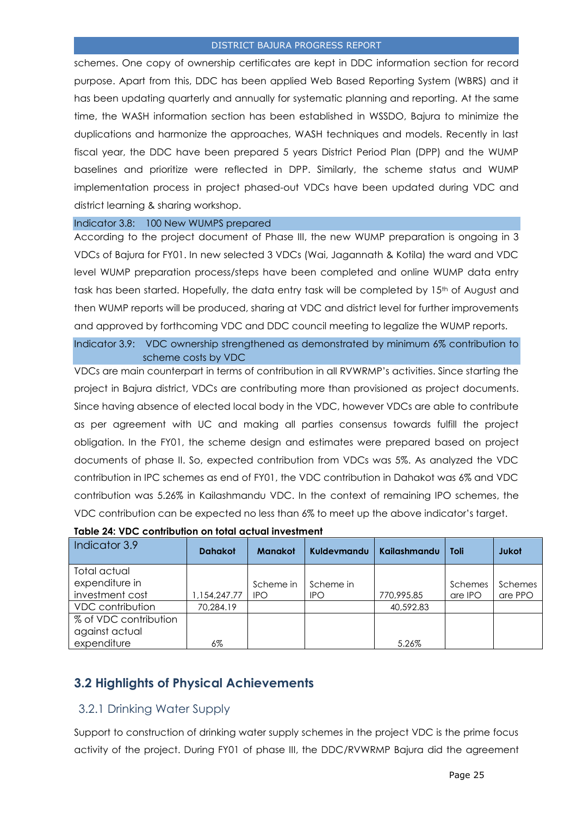schemes. One copy of ownership certificates are kept in DDC information section for record purpose. Apart from this, DDC has been applied Web Based Reporting System (WBRS) and it has been updating quarterly and annually for systematic planning and reporting. At the same time, the WASH information section has been established in WSSDO, Bajura to minimize the duplications and harmonize the approaches, WASH techniques and models. Recently in last fiscal year, the DDC have been prepared 5 years District Period Plan (DPP) and the WUMP baselines and prioritize were reflected in DPP. Similarly, the scheme status and WUMP implementation process in project phased-out VDCs have been updated during VDC and district learning & sharing workshop.

#### Indicator 3.8: 100 New WUMPS prepared

According to the project document of Phase III, the new WUMP preparation is ongoing in 3 VDCs of Bajura for FY01. In new selected 3 VDCs (Wai, Jagannath & Kotila) the ward and VDC level WUMP preparation process/steps have been completed and online WUMP data entry task has been started. Hopefully, the data entry task will be completed by 15<sup>th</sup> of August and then WUMP reports will be produced, sharing at VDC and district level for further improvements and approved by forthcoming VDC and DDC council meeting to legalize the WUMP reports.

Indicator 3.9: VDC ownership strengthened as demonstrated by minimum 6% contribution to scheme costs by VDC

VDCs are main counterpart in terms of contribution in all RVWRMP's activities. Since starting the project in Bajura district, VDCs are contributing more than provisioned as project documents. Since having absence of elected local body in the VDC, however VDCs are able to contribute as per agreement with UC and making all parties consensus towards fulfill the project obligation. In the FY01, the scheme design and estimates were prepared based on project documents of phase II. So, expected contribution from VDCs was 5%. As analyzed the VDC contribution in IPC schemes as end of FY01, the VDC contribution in Dahakot was 6% and VDC contribution was 5.26% in Kailashmandu VDC. In the context of remaining IPO schemes, the VDC contribution can be expected no less than 6% to meet up the above indicator's target.

| Indicator 3.9           | <b>Dahakot</b> | <b>Manakot</b> | Kuldevmandu | Kailashmandu | <b>Toli</b> | Jukot   |
|-------------------------|----------------|----------------|-------------|--------------|-------------|---------|
| Total actual            |                |                |             |              |             |         |
| expenditure in          |                | Scheme in      | Scheme in   |              | Schemes     | Schemes |
| investment cost         | 1,154,247.77   | <b>IPO</b>     | <b>IPO</b>  | 770,995.85   | are IPO     | are PPO |
| <b>VDC</b> contribution | 70.284.19      |                |             | 40,592.83    |             |         |
| % of VDC contribution   |                |                |             |              |             |         |
| against actual          |                |                |             |              |             |         |
| expenditure             | 6%             |                |             | 5.26%        |             |         |

#### **Table 24: VDC contribution on total actual investment**

# <span id="page-24-0"></span>**3.2 Highlights of Physical Achievements**

## <span id="page-24-1"></span>3.2.1 Drinking Water Supply

Support to construction of drinking water supply schemes in the project VDC is the prime focus activity of the project. During FY01 of phase III, the DDC/RVWRMP Bajura did the agreement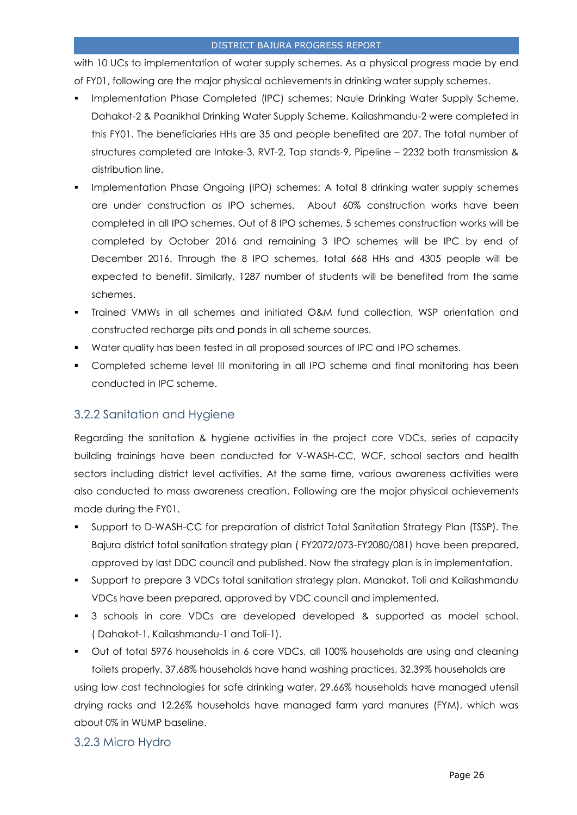with 10 UCs to implementation of water supply schemes. As a physical progress made by end of FY01, following are the major physical achievements in drinking water supply schemes.

- Implementation Phase Completed (IPC) schemes: Naule Drinking Water Supply Scheme, Dahakot-2 & Paanikhal Drinking Water Supply Scheme, Kailashmandu-2 were completed in this FY01. The beneficiaries HHs are 35 and people benefited are 207. The total number of structures completed are Intake-3, RVT-2, Tap stands-9, Pipeline – 2232 both transmission & distribution line.
- Implementation Phase Ongoing (IPO) schemes: A total 8 drinking water supply schemes are under construction as IPO schemes. About 60% construction works have been completed in all IPO schemes. Out of 8 IPO schemes, 5 schemes construction works will be completed by October 2016 and remaining 3 IPO schemes will be IPC by end of December 2016. Through the 8 IPO schemes, total 668 HHs and 4305 people will be expected to benefit. Similarly, 1287 number of students will be benefited from the same schemes.
- Trained VMWs in all schemes and initiated O&M fund collection, WSP orientation and constructed recharge pits and ponds in all scheme sources.
- Water quality has been tested in all proposed sources of IPC and IPO schemes.
- Completed scheme level III monitoring in all IPO scheme and final monitoring has been conducted in IPC scheme.

# <span id="page-25-0"></span>3.2.2 Sanitation and Hygiene

Regarding the sanitation & hygiene activities in the project core VDCs, series of capacity building trainings have been conducted for V-WASH-CC, WCF, school sectors and health sectors including district level activities. At the same time, various awareness activities were also conducted to mass awareness creation. Following are the major physical achievements made during the FY01.

- Support to D-WASH-CC for preparation of district Total Sanitation Strategy Plan (TSSP). The Bajura district total sanitation strategy plan ( FY2072/073-FY2080/081) have been prepared, approved by last DDC council and published. Now the strategy plan is in implementation.
- Support to prepare 3 VDCs total sanitation strategy plan. Manakot, Toli and Kailashmandu VDCs have been prepared, approved by VDC council and implemented.
- 3 schools in core VDCs are developed developed & supported as model school. ( Dahakot-1, Kailashmandu-1 and Toli-1).
- Out of total 5976 households in 6 core VDCs, all 100% households are using and cleaning toilets properly. 37.68% households have hand washing practices, 32.39% households are using low cost technologies for safe drinking water, 29.66% households have managed utensil drying racks and 12.26% households have managed farm yard manures (FYM), which was about 0% in WUMP baseline.

## <span id="page-25-1"></span>3.2.3 Micro Hydro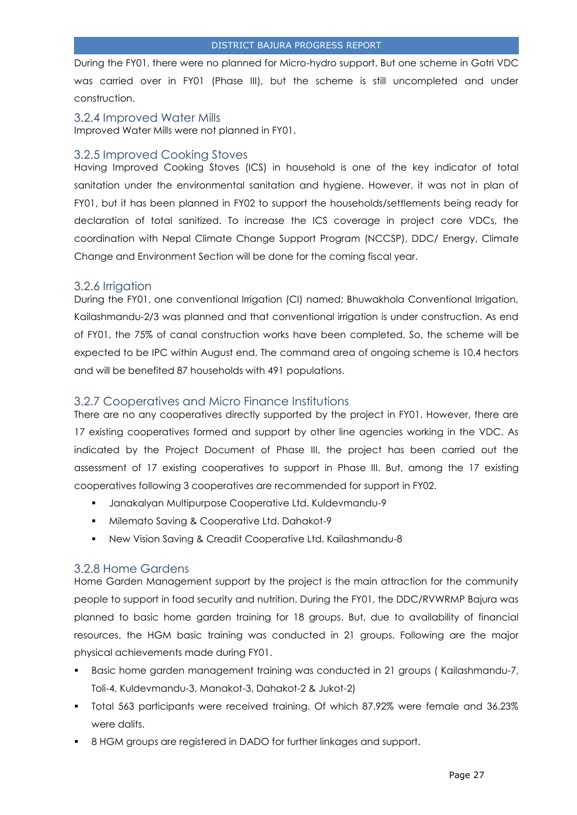During the FY01, there were no planned for Micro-hydro support. But one scheme in Gotri VDC was carried over in FY01 (Phase III), but the scheme is still uncompleted and under construction.

<span id="page-26-0"></span>3.2.4 Improved Water Mills Improved Water Mills were not planned in FY01.

## <span id="page-26-1"></span>3.2.5 Improved Cooking Stoves

Having Improved Cooking Stoves (ICS) in household is one of the key indicator of total sanitation under the environmental sanitation and hygiene. However, it was not in plan of FY01, but it has been planned in FY02 to support the households/settlements being ready for declaration of total sanitized. To increase the ICS coverage in project core VDCs, the coordination with Nepal Climate Change Support Program (NCCSP), DDC/ Energy, Climate Change and Environment Section will be done for the coming fiscal year.

# <span id="page-26-2"></span>3.2.6 Irrigation

During the FY01, one conventional Irrigation (CI) named; Bhuwakhola Conventional Irrigation, Kailashmandu-2/3 was planned and that conventional irrigation is under construction. As end of FY01, the 75% of canal construction works have been completed. So, the scheme will be expected to be IPC within August end. The command area of ongoing scheme is 10.4 hectors and will be benefited 87 households with 491 populations.

# <span id="page-26-3"></span>3.2.7 Cooperatives and Micro Finance Institutions

There are no any cooperatives directly supported by the project in FY01. However, there are 17 existing cooperatives formed and support by other line agencies working in the VDC. As indicated by the Project Document of Phase III, the project has been carried out the assessment of 17 existing cooperatives to support in Phase III. But, among the 17 existing cooperatives following 3 cooperatives are recommended for support in FY02.

- Janakalyan Multipurpose Cooperative Ltd. Kuldevmandu-9
- Milemato Saving & Cooperative Ltd. Dahakot-9
- New Vision Saving & Creadit Cooperative Ltd. Kailashmandu-8

# <span id="page-26-4"></span>3.2.8 Home Gardens

Home Garden Management support by the project is the main attraction for the community people to support in food security and nutrition. During the FY01, the DDC/RVWRMP Bajura was planned to basic home garden training for 18 groups. But, due to availability of financial resources, the HGM basic training was conducted in 21 groups. Following are the major physical achievements made during FY01.

- Basic home garden management training was conducted in 21 groups ( Kailashmandu-7, Toli-4, Kuldevmandu-3, Manakot-3, Dahakot-2 & Jukot-2)
- Total 563 participants were received training. Of which 87.92% were female and 36.23% were dalits.
- 8 HGM groups are registered in DADO for further linkages and support.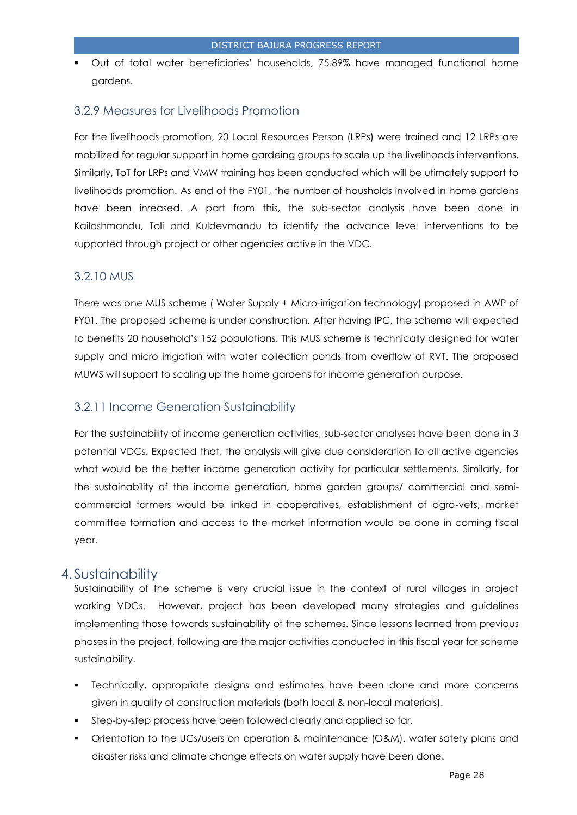Out of total water beneficiaries' households, 75.89% have managed functional home gardens.

# <span id="page-27-0"></span>3.2.9 Measures for Livelihoods Promotion

For the livelihoods promotion, 20 Local Resources Person (LRPs) were trained and 12 LRPs are mobilized for regular support in home gardeing groups to scale up the livelihoods interventions. Similarly, ToT for LRPs and VMW training has been conducted which will be utimately support to livelihoods promotion. As end of the FY01, the number of housholds involved in home gardens have been inreased. A part from this, the sub-sector analysis have been done in Kailashmandu, Toli and Kuldevmandu to identify the advance level interventions to be supported through project or other agencies active in the VDC.

# <span id="page-27-1"></span>3.2.10 MUS

There was one MUS scheme ( Water Supply + Micro-irrigation technology) proposed in AWP of FY01. The proposed scheme is under construction. After having IPC, the scheme will expected to benefits 20 household's 152 populations. This MUS scheme is technically designed for water supply and micro irrigation with water collection ponds from overflow of RVT. The proposed MUWS will support to scaling up the home gardens for income generation purpose.

## <span id="page-27-2"></span>3.2.11 Income Generation Sustainability

For the sustainability of income generation activities, sub-sector analyses have been done in 3 potential VDCs. Expected that, the analysis will give due consideration to all active agencies what would be the better income generation activity for particular settlements. Similarly, for the sustainability of the income generation, home garden groups/ commercial and semicommercial farmers would be linked in cooperatives, establishment of agro-vets, market committee formation and access to the market information would be done in coming fiscal year.

# <span id="page-27-3"></span>4. Sustainability

Sustainability of the scheme is very crucial issue in the context of rural villages in project working VDCs. However, project has been developed many strategies and guidelines implementing those towards sustainability of the schemes. Since lessons learned from previous phases in the project, following are the major activities conducted in this fiscal year for scheme sustainability.

- Technically, appropriate designs and estimates have been done and more concerns given in quality of construction materials (both local & non-local materials).
- Step-by-step process have been followed clearly and applied so far.
- Orientation to the UCs/users on operation & maintenance (O&M), water safety plans and disaster risks and climate change effects on water supply have been done.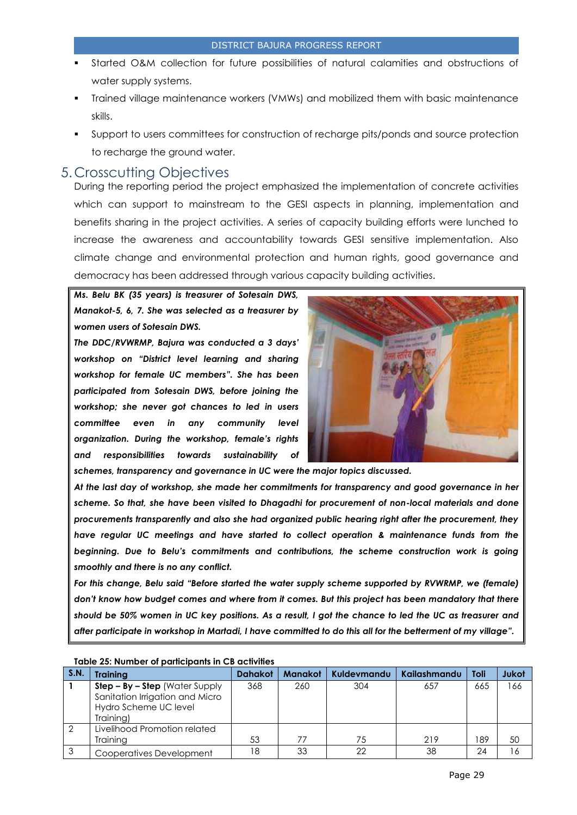- Started O&M collection for future possibilities of natural calamities and obstructions of water supply systems.
- Trained village maintenance workers (VMWs) and mobilized them with basic maintenance skills.
- Support to users committees for construction of recharge pits/ponds and source protection to recharge the ground water.

# <span id="page-28-0"></span>5.Crosscutting Objectives

During the reporting period the project emphasized the implementation of concrete activities which can support to mainstream to the GESI aspects in planning, implementation and benefits sharing in the project activities. A series of capacity building efforts were lunched to increase the awareness and accountability towards GESI sensitive implementation. Also climate change and environmental protection and human rights, good governance and democracy has been addressed through various capacity building activities.

*Ms. Belu BK (35 years) is treasurer of Sotesain DWS, Manakot-5, 6, 7. She was selected as a treasurer by women users of Sotesain DWS.* 

*The DDC/RVWRMP, Bajura was conducted a 3 days' workshop on "District level learning and sharing workshop for female UC members". She has been participated from Sotesain DWS, before joining the workshop; she never got chances to led in users committee even in any community level organization. During the workshop, female's rights and responsibilities towards sustainability of* 



*schemes, transparency and governance in UC were the major topics discussed.* 

*At the last day of workshop, she made her commitments for transparency and good governance in her scheme. So that, she have been visited to Dhagadhi for procurement of non-local materials and done procurements transparently and also she had organized public hearing right after the procurement, they have regular UC meetings and have started to collect operation & maintenance funds from the beginning. Due to Belu's commitments and contributions, the scheme construction work is going smoothly and there is no any conflict.* 

*For this change, Belu said "Before started the water supply scheme supported by RVWRMP, we (female) don't know how budget comes and where from it comes. But this project has been mandatory that there should be 50% women in UC key positions. As a result, I got the chance to led the UC as treasurer and after participate in workshop in Martadi, I have committed to do this all for the betterment of my village".* 

|             | TODIE 29. NUTTIVEL OF DUITICIDATIS III CD ACTIVILIES                                                      |                |                |             |              |      |       |
|-------------|-----------------------------------------------------------------------------------------------------------|----------------|----------------|-------------|--------------|------|-------|
| <b>S.N.</b> | <b>Trainina</b>                                                                                           | <b>Dahakot</b> | <b>Manakot</b> | Kuldevmandu | Kailashmandu | Toli | Jukot |
|             | $Step - By - Step$ (Water Supply<br>Sanitation Irrigation and Micro<br>Hydro Scheme UC level<br>Training) | 368            | 260            | 304         | 657          | 665  | 166   |
|             | Livelihood Promotion related<br><b>Trainina</b>                                                           | 53             | 77             | 75          | 219          | 189  | 50    |
|             | Cooperatives Development                                                                                  | 18             | 33             | 22          | 38           | 24   | ۱6    |

#### **Table 25: Number of participants in CB activities**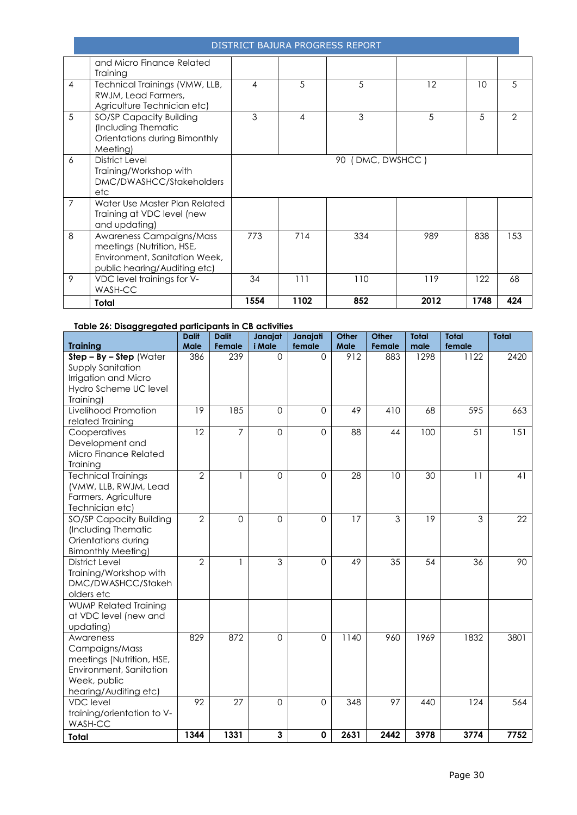|                | and Micro Finance Related<br>Training                                                                                  |      |      |                  |      |      |               |
|----------------|------------------------------------------------------------------------------------------------------------------------|------|------|------------------|------|------|---------------|
| $\overline{4}$ | Technical Trainings (VMW, LLB,<br>RWJM, Lead Farmers,<br>Agriculture Technician etc)                                   | 4    | 5    | 5                | 12   | 10   | 5             |
| 5              | SO/SP Capacity Building<br>(Including Thematic<br>Orientations during Bimonthly<br>Meeting)                            | 3    | 4    | 3                | 5    | .5   | $\mathcal{P}$ |
| 6              | District Level<br>Training/Workshop with<br>DMC/DWASHCC/Stakeholders<br>etc                                            |      |      | 90 (DMC, DWSHCC) |      |      |               |
| $\overline{7}$ | Water Use Master Plan Related<br>Training at VDC level (new<br>and updating)                                           |      |      |                  |      |      |               |
| 8              | Awareness Campaigns/Mass<br>meetings (Nutrition, HSE,<br>Environment, Sanitation Week,<br>public hearing/Auditing etc) | 773  | 714  | 334              | 989  | 838  | 153           |
| 9              | VDC level trainings for V-<br>WASH-CC                                                                                  | 34   | 111  | 110              | 119  | 122  | 68            |
|                | Total                                                                                                                  | 1554 | 1102 | 852              | 2012 | 1748 | 424           |

#### **Table 26: Disaggregated participants in CB activities**

| <b>Training</b>                                                                                                              | <b>Dalit</b><br>Male | <b>Dalit</b><br>Female | Janajat<br>i Male | Janajati<br>female | Other<br>Male | Other<br>Female | <b>Total</b><br>male | <b>Total</b><br>female | <b>Total</b> |
|------------------------------------------------------------------------------------------------------------------------------|----------------------|------------------------|-------------------|--------------------|---------------|-----------------|----------------------|------------------------|--------------|
| $Step - By - Step$ (Water<br>Supply Sanitation<br>Irrigation and Micro<br>Hydro Scheme UC level<br>Training)                 | 386                  | 239                    | $\Omega$          | $\Omega$           | 912           | 883             | 1298                 | 1122                   | 2420         |
| Livelihood Promotion<br>related Training                                                                                     | 19                   | 185                    | $\Omega$          | $\Omega$           | 49            | 410             | 68                   | 595                    | 663          |
| Cooperatives<br>Development and<br>Micro Finance Related<br>Training                                                         | 12                   | $\overline{7}$         | $\overline{0}$    | $\overline{0}$     | 88            | 44              | 100                  | 51                     | 151          |
| <b>Technical Trainings</b><br>(VMW, LLB, RWJM, Lead<br>Farmers, Agriculture<br>Technician etc)                               | $\overline{2}$       | 1                      | $\overline{0}$    | $\overline{0}$     | 28            | 10              | 30                   | 11                     | 41           |
| SO/SP Capacity Building<br>(Including Thematic<br>Orientations during<br><b>Bimonthly Meeting)</b>                           | $\overline{2}$       | 0                      | $\mathbf 0$       | $\mathbf 0$        | 17            | 3               | 19                   | 3                      | 22           |
| <b>District Level</b><br>Training/Workshop with<br>DMC/DWASHCC/Stakeh<br>olders etc                                          | $\overline{2}$       | 1                      | 3                 | $\Omega$           | 49            | 35              | 54                   | 36                     | 90           |
| <b>WUMP Related Training</b><br>at VDC level (new and<br>updating)                                                           |                      |                        |                   |                    |               |                 |                      |                        |              |
| Awareness<br>Campaigns/Mass<br>meetings (Nutrition, HSE,<br>Environment, Sanitation<br>Week, public<br>hearing/Auditing etc) | 829                  | 872                    | $\mathbf 0$       | $\Omega$           | 1140          | 960             | 1969                 | 1832                   | 3801         |
| <b>VDC</b> level<br>training/orientation to V-<br>WASH-CC                                                                    | 92                   | 27                     | $\mathbf 0$       | $\Omega$           | 348           | 97              | 440                  | 124                    | 564          |
| <b>Total</b>                                                                                                                 | 1344                 | 1331                   | 3                 | $\mathbf 0$        | 2631          | 2442            | 3978                 | 3774                   | 7752         |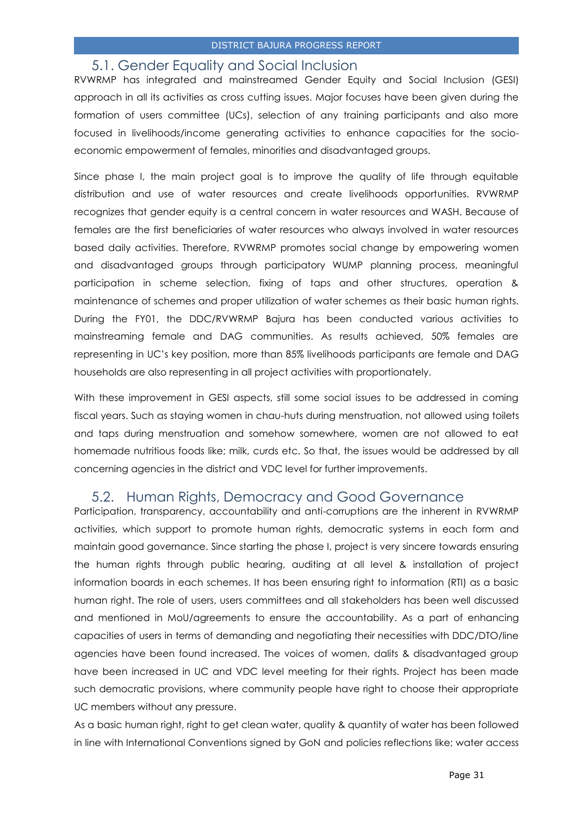#### 5.1. Gender Equality and Social Inclusion

<span id="page-30-0"></span>RVWRMP has integrated and mainstreamed Gender Equity and Social Inclusion (GESI) approach in all its activities as cross cutting issues. Major focuses have been given during the formation of users committee (UCs), selection of any training participants and also more focused in livelihoods/income generating activities to enhance capacities for the socioeconomic empowerment of females, minorities and disadvantaged groups.

Since phase I, the main project goal is to improve the quality of life through equitable distribution and use of water resources and create livelihoods opportunities. RVWRMP recognizes that gender equity is a central concern in water resources and WASH. Because of females are the first beneficiaries of water resources who always involved in water resources based daily activities. Therefore, RVWRMP promotes social change by empowering women and disadvantaged groups through participatory WUMP planning process, meaningful participation in scheme selection, fixing of taps and other structures, operation & maintenance of schemes and proper utilization of water schemes as their basic human rights. During the FY01, the DDC/RVWRMP Bajura has been conducted various activities to mainstreaming female and DAG communities. As results achieved, 50% females are representing in UC's key position, more than 85% livelihoods participants are female and DAG households are also representing in all project activities with proportionately.

With these improvement in GESI aspects, still some social issues to be addressed in coming fiscal years. Such as staying women in chau-huts during menstruation, not allowed using toilets and taps during menstruation and somehow somewhere, women are not allowed to eat homemade nutritious foods like; milk, curds etc. So that, the issues would be addressed by all concerning agencies in the district and VDC level for further improvements.

# <span id="page-30-1"></span>5.2. Human Rights, Democracy and Good Governance

Participation, transparency, accountability and anti-corruptions are the inherent in RVWRMP activities, which support to promote human rights, democratic systems in each form and maintain good governance. Since starting the phase I, project is very sincere towards ensuring the human rights through public hearing, auditing at all level & installation of project information boards in each schemes. It has been ensuring right to information (RTI) as a basic human right. The role of users, users committees and all stakeholders has been well discussed and mentioned in MoU/agreements to ensure the accountability. As a part of enhancing capacities of users in terms of demanding and negotiating their necessities with DDC/DTO/line agencies have been found increased. The voices of women, dalits & disadvantaged group have been increased in UC and VDC level meeting for their rights. Project has been made such democratic provisions, where community people have right to choose their appropriate UC members without any pressure.

As a basic human right, right to get clean water, quality & quantity of water has been followed in line with International Conventions signed by GoN and policies reflections like; water access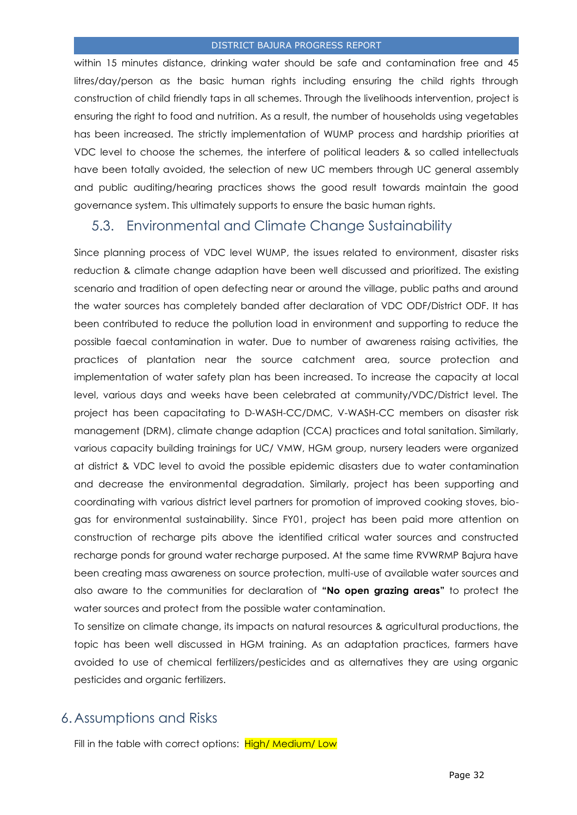within 15 minutes distance, drinking water should be safe and contamination free and 45 litres/day/person as the basic human rights including ensuring the child rights through construction of child friendly taps in all schemes. Through the livelihoods intervention, project is ensuring the right to food and nutrition. As a result, the number of households using vegetables has been increased. The strictly implementation of WUMP process and hardship priorities at VDC level to choose the schemes, the interfere of political leaders & so called intellectuals have been totally avoided, the selection of new UC members through UC general assembly and public auditing/hearing practices shows the good result towards maintain the good governance system. This ultimately supports to ensure the basic human rights.

# <span id="page-31-0"></span>5.3. Environmental and Climate Change Sustainability

Since planning process of VDC level WUMP, the issues related to environment, disaster risks reduction & climate change adaption have been well discussed and prioritized. The existing scenario and tradition of open defecting near or around the village, public paths and around the water sources has completely banded after declaration of VDC ODF/District ODF. It has been contributed to reduce the pollution load in environment and supporting to reduce the possible faecal contamination in water. Due to number of awareness raising activities, the practices of plantation near the source catchment area, source protection and implementation of water safety plan has been increased. To increase the capacity at local level, various days and weeks have been celebrated at community/VDC/District level. The project has been capacitating to D-WASH-CC/DMC, V-WASH-CC members on disaster risk management (DRM), climate change adaption (CCA) practices and total sanitation. Similarly, various capacity building trainings for UC/ VMW, HGM group, nursery leaders were organized at district & VDC level to avoid the possible epidemic disasters due to water contamination and decrease the environmental degradation. Similarly, project has been supporting and coordinating with various district level partners for promotion of improved cooking stoves, biogas for environmental sustainability. Since FY01, project has been paid more attention on construction of recharge pits above the identified critical water sources and constructed recharge ponds for ground water recharge purposed. At the same time RVWRMP Bajura have been creating mass awareness on source protection, multi-use of available water sources and also aware to the communities for declaration of **"No open grazing areas"** to protect the water sources and protect from the possible water contamination.

To sensitize on climate change, its impacts on natural resources & agricultural productions, the topic has been well discussed in HGM training. As an adaptation practices, farmers have avoided to use of chemical fertilizers/pesticides and as alternatives they are using organic pesticides and organic fertilizers.

# <span id="page-31-1"></span>6.Assumptions and Risks

Fill in the table with correct options: High/ Medium/ Low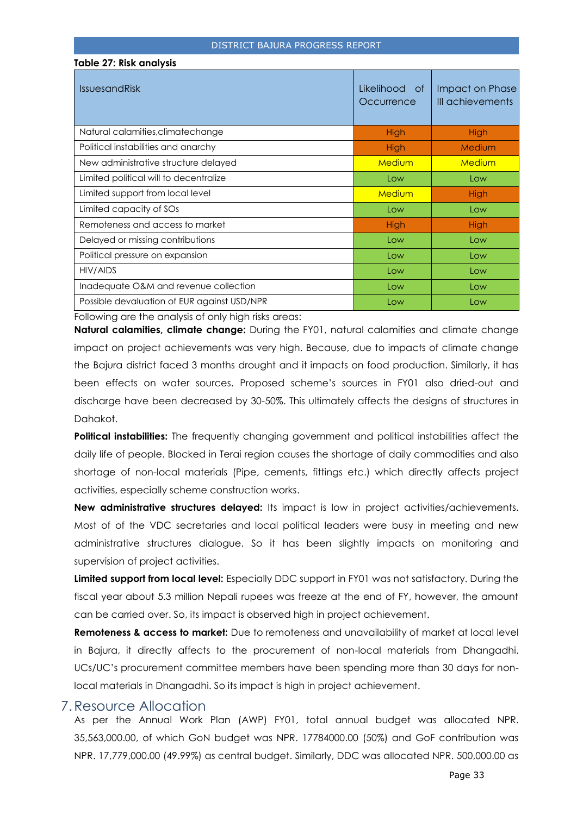| <b>NOVE ZI. MOR GITGLY 313</b>              |                             |                                     |
|---------------------------------------------|-----------------------------|-------------------------------------|
| <b>IssuesandRisk</b>                        | Likelihood of<br>Occurrence | Impact on Phase<br>III achievements |
| Natural calamities, climatechange           | <b>High</b>                 | <b>High</b>                         |
| Political instabilities and anarchy         | <b>High</b>                 | Medium                              |
| New administrative structure delayed        | Medium                      | Medium                              |
| Limited political will to decentralize      | Low                         | Low                                 |
| Limited support from local level            | Medium                      | High                                |
| Limited capacity of SOs                     | Low                         | Low                                 |
| Remoteness and access to market             | <b>High</b>                 | <b>High</b>                         |
| Delayed or missing contributions            | Low                         | Low                                 |
| Political pressure on expansion             | Low                         | Low                                 |
| HIV/AIDS                                    | Low                         | Low                                 |
| Inadequate O&M and revenue collection       | Low                         | Low                                 |
| Possible devaluation of EUR against USD/NPR | Low                         | Low                                 |
|                                             |                             |                                     |

Following are the analysis of only high risks areas:

**Table 27: Risk analysis**

**Natural calamities, climate change:** During the FY01, natural calamities and climate change impact on project achievements was very high. Because, due to impacts of climate change the Bajura district faced 3 months drought and it impacts on food production. Similarly, it has been effects on water sources. Proposed scheme's sources in FY01 also dried-out and discharge have been decreased by 30-50%. This ultimately affects the designs of structures in Dahakot.

**Political instabilities:** The frequently changing government and political instabilities affect the daily life of people. Blocked in Terai region causes the shortage of daily commodities and also shortage of non-local materials (Pipe, cements, fittings etc.) which directly affects project activities, especially scheme construction works.

New administrative structures delayed: Its impact is low in project activities/achievements. Most of of the VDC secretaries and local political leaders were busy in meeting and new administrative structures dialogue. So it has been slightly impacts on monitoring and supervision of project activities.

**Limited support from local level:** Especially DDC support in FY01 was not satisfactory. During the fiscal year about 5.3 million Nepali rupees was freeze at the end of FY, however, the amount can be carried over. So, its impact is observed high in project achievement.

**Remoteness & access to market:** Due to remoteness and unavailability of market at local level in Bajura, it directly affects to the procurement of non-local materials from Dhangadhi. UCs/UC's procurement committee members have been spending more than 30 days for nonlocal materials in Dhangadhi. So its impact is high in project achievement.

# <span id="page-32-0"></span>7.Resource Allocation

As per the Annual Work Plan (AWP) FY01, total annual budget was allocated NPR. 35,563,000.00, of which GoN budget was NPR. 17784000.00 (50%) and GoF contribution was NPR. 17,779,000.00 (49.99%) as central budget. Similarly, DDC was allocated NPR. 500,000.00 as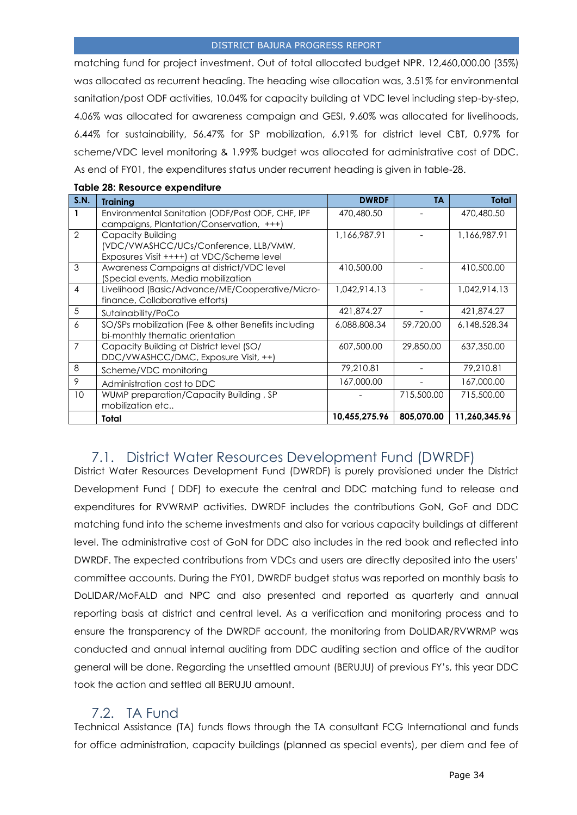matching fund for project investment. Out of total allocated budget NPR. 12,460,000.00 (35%) was allocated as recurrent heading. The heading wise allocation was, 3.51% for environmental sanitation/post ODF activities, 10.04% for capacity building at VDC level including step-by-step, 4.06% was allocated for awareness campaign and GESI, 9.60% was allocated for livelihoods, 6.44% for sustainability, 56.47% for SP mobilization, 6.91% for district level CBT, 0.97% for scheme/VDC level monitoring & 1.99% budget was allocated for administrative cost of DDC. As end of FY01, the expenditures status under recurrent heading is given in table-28.

| S.N.           | <b>Training</b>                                                                                         | <b>DWRDF</b>  | ΤA         | <b>Total</b>  |
|----------------|---------------------------------------------------------------------------------------------------------|---------------|------------|---------------|
|                | Environmental Sanitation (ODF/Post ODF, CHF, IPF<br>campaigns, Plantation/Conservation, +++)            | 470,480.50    |            | 470,480.50    |
| 2              | Capacity Building<br>(VDC/VWASHCC/UCs/Conference, LLB/VMW,<br>Exposures Visit ++++) at VDC/Scheme level | 1,166,987.91  |            | 1,166,987.91  |
| 3              | Awareness Campaigns at district/VDC level<br>(Special events, Media mobilization                        | 410,500.00    |            | 410,500.00    |
| $\overline{4}$ | Livelihood (Basic/Advance/ME/Cooperative/Micro-<br>finance, Collaborative efforts)                      | 1,042,914.13  |            | 1,042,914.13  |
| 5              | Sutainability/PoCo                                                                                      | 421,874.27    |            | 421,874.27    |
| 6              | SO/SPs mobilization (Fee & other Benefits including<br>bi-monthly thematic orientation                  | 6,088,808.34  | 59,720.00  | 6,148,528.34  |
| 7              | Capacity Building at District level (SO/<br>DDC/VWASHCC/DMC, Exposure Visit, ++)                        | 607,500.00    | 29,850.00  | 637,350.00    |
| 8              | Scheme/VDC monitoring                                                                                   | 79,210.81     |            | 79,210.81     |
| 9              | Administration cost to DDC                                                                              | 167,000.00    |            | 167,000.00    |
| 10             | WUMP preparation/Capacity Building, SP<br>mobilization etc                                              |               | 715,500.00 | 715,500.00    |
|                | Total                                                                                                   | 10,455,275.96 | 805,070.00 | 11,260,345.96 |

#### **Table 28: Resource expenditure**

# <span id="page-33-0"></span>7.1. District Water Resources Development Fund (DWRDF)

District Water Resources Development Fund (DWRDF) is purely provisioned under the District Development Fund ( DDF) to execute the central and DDC matching fund to release and expenditures for RVWRMP activities. DWRDF includes the contributions GoN, GoF and DDC matching fund into the scheme investments and also for various capacity buildings at different level. The administrative cost of GoN for DDC also includes in the red book and reflected into DWRDF. The expected contributions from VDCs and users are directly deposited into the users' committee accounts. During the FY01, DWRDF budget status was reported on monthly basis to DoLIDAR/MoFALD and NPC and also presented and reported as quarterly and annual reporting basis at district and central level. As a verification and monitoring process and to ensure the transparency of the DWRDF account, the monitoring from DoLIDAR/RVWRMP was conducted and annual internal auditing from DDC auditing section and office of the auditor general will be done. Regarding the unsettled amount (BERUJU) of previous FY's, this year DDC took the action and settled all BERUJU amount.

# 7.2. TA Fund

<span id="page-33-1"></span>Technical Assistance (TA) funds flows through the TA consultant FCG International and funds for office administration, capacity buildings (planned as special events), per diem and fee of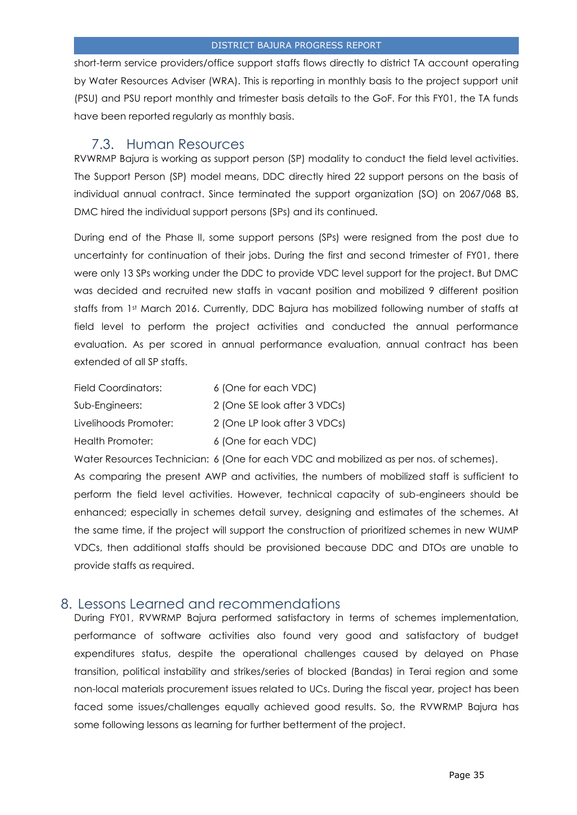short-term service providers/office support staffs flows directly to district TA account operating by Water Resources Adviser (WRA). This is reporting in monthly basis to the project support unit (PSU) and PSU report monthly and trimester basis details to the GoF. For this FY01, the TA funds have been reported regularly as monthly basis.

# 7.3. Human Resources

<span id="page-34-0"></span>RVWRMP Bajura is working as support person (SP) modality to conduct the field level activities. The Support Person (SP) model means, DDC directly hired 22 support persons on the basis of individual annual contract. Since terminated the support organization (SO) on 2067/068 BS, DMC hired the individual support persons (SPs) and its continued.

During end of the Phase II, some support persons (SPs) were resigned from the post due to uncertainty for continuation of their jobs. During the first and second trimester of FY01, there were only 13 SPs working under the DDC to provide VDC level support for the project. But DMC was decided and recruited new staffs in vacant position and mobilized 9 different position staffs from 1st March 2016. Currently, DDC Bajura has mobilized following number of staffs at field level to perform the project activities and conducted the annual performance evaluation. As per scored in annual performance evaluation, annual contract has been extended of all SP staffs.

| Field Coordinators:   | 6 (One for each VDC)         |
|-----------------------|------------------------------|
| Sub-Engineers:        | 2 (One SE look after 3 VDCs) |
| Livelihoods Promoter: | 2 (One LP look after 3 VDCs) |
| Health Promoter:      | 6 (One for each VDC)         |

Water Resources Technician: 6 (One for each VDC and mobilized as per nos. of schemes).

As comparing the present AWP and activities, the numbers of mobilized staff is sufficient to perform the field level activities. However, technical capacity of sub-engineers should be enhanced; especially in schemes detail survey, designing and estimates of the schemes. At the same time, if the project will support the construction of prioritized schemes in new WUMP VDCs, then additional staffs should be provisioned because DDC and DTOs are unable to provide staffs as required.

# <span id="page-34-1"></span>8. Lessons Learned and recommendations

During FY01, RVWRMP Bajura performed satisfactory in terms of schemes implementation, performance of software activities also found very good and satisfactory of budget expenditures status, despite the operational challenges caused by delayed on Phase transition, political instability and strikes/series of blocked (Bandas) in Terai region and some non-local materials procurement issues related to UCs. During the fiscal year, project has been faced some issues/challenges equally achieved good results. So, the RVWRMP Bajura has some following lessons as learning for further betterment of the project.